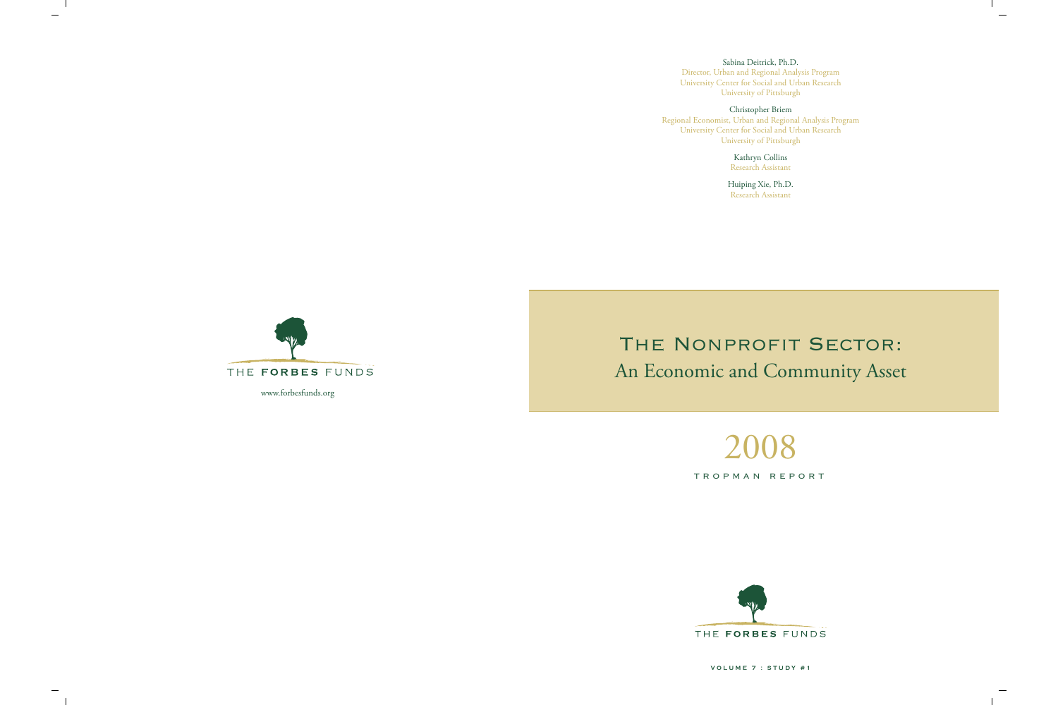$2<sub>0</sub>$ TROPMAN REPORT



# THE NONPROFIT SECTOR: An Economic and Community Asset

 $\mathbf{I}$ 

 $\overline{\phantom{a}}$ 

Sabina Deitrick, Ph.D. Director, Urban and Regional Analysis Program University Center for Social and Urban Research University of Pittsburgh

Christopher Briem Regional Economist, Urban and Regional Analysis Program University Center for Social and Urban Research University of Pittsburgh

Kathryn Collins Research Assistant

Huiping Xie, Ph.D. Research Assistant



 $\mathbf{L}$ 

 $\overline{\phantom{m}}$ 

**VOLUME 7 : STUDY #1**

www.forbesfunds.org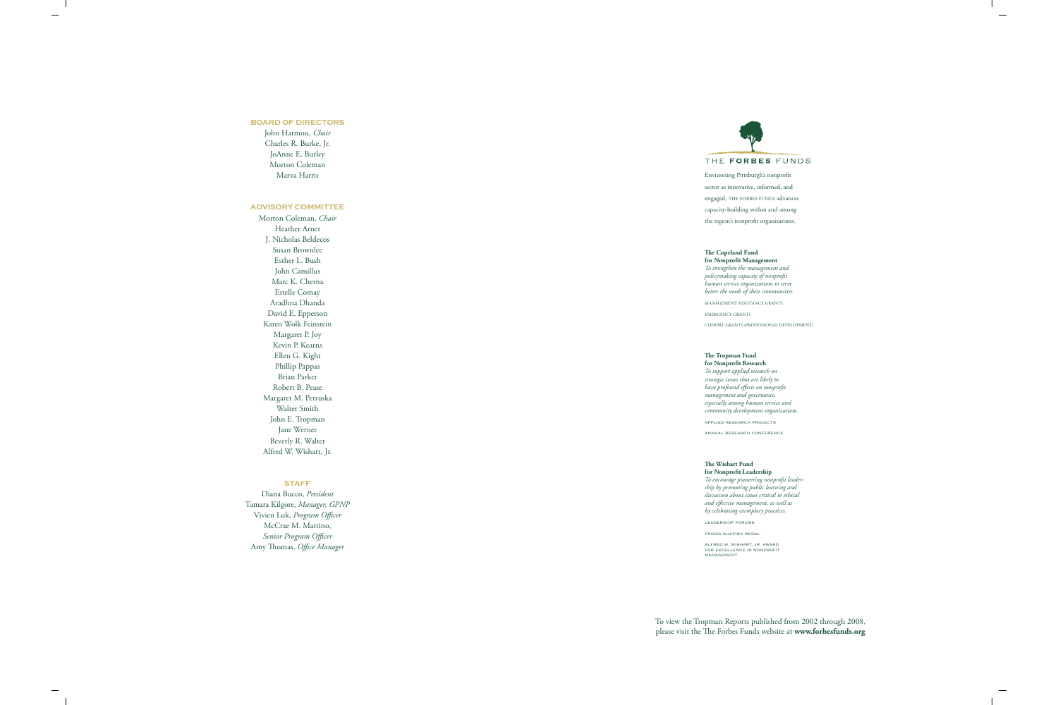#### **BOARD OF DIRECTORS**

 $\overline{\phantom{a}}$ 

 $\overline{\phantom{a}}$ 

John Harmon, *Chair* Charles R. Burke, Jr. JoAnne E. Burley Morton Coleman Marva Harris

#### **ADVISORY COMMITTEE**

Morton Coleman, *Chair* Heather Arnet J. Nicholas Beldecos Susan Brownlee Esther L. Bush John Camillus Marc K. Cherna Estelle Comay Aradhna Dhanda David E. Epperson Karen Wolk Feinstein Margaret P. Joy Kevin P. Kearns Ellen G. Kight Phillip Pappas Brian Parker Robert B. Pease Margaret M. Petruska Walter Smith John E. Tropman Jane Werner Beverly R. Walter Alfred W. Wishart, Jr.

#### **STAFF**

Diana Bucco, *President* Tamara Kilgore, *Manager, GPNP* Vivien Luk, *Program Officer* McCrae M. Martino, *Senior Program Officer* Amy Thomas, *Office Manager*

To view the Tropman Reports published from 2002 through 2008, please visit the The Forbes Funds website at **www.forbesfunds.org**

 $\overline{\phantom{a}}$ 



Envisioning Pittsburgh's nonprofit sector as innovative, informed, and engaged, THE FORBES FUNDS advances capacity-building within and among the region's nonprofit organizations.

# **The Copeland Fund**

**for Nonprofit Management** *To strengthen the management and policymaking capacity of nonprofit human service organizations to serve better the needs of their communities.*

MANAGEMENT ASSISTANCE GRANTS EMERGENCY GRANTS COHORT GRANTS (PROFESSIONAL DEVELOPMENT)

### **The Tropman Fund**

**for Nonprofit Research** *To support applied research on strategic issues that are likely to have profound effects on nonprofit management and governance, especially among human service and community development organizations.* APPLIED RESEARCH PROJECTS

ANNUAL RESEARCH CONFERENCE

#### **The Wishart Fund**

**for Nonprofit Leadership** *To encourage pioneering nonprofit leadership by promoting public learning and discussion about issues critical to ethical and effective management, as well as by celebrating exemplary practices.*

LEADERSHIP FORUMS

FRIEDA SHAPIRA MEDAL

ALFRED W. WISHART, JR. AWARD FOR EXCELLENCE IN NONPROFIT MANAGEMENT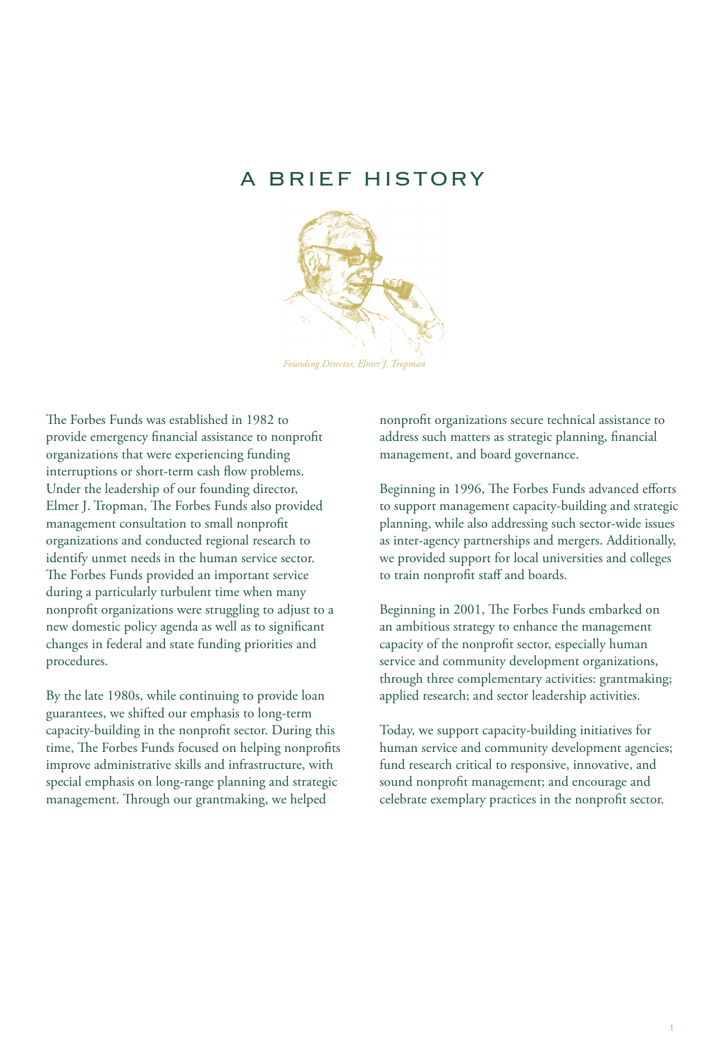# A BRIEF HISTORY



The Forbes Funds was established in 1982 to provide emergency financial assistance to nonprofit organizations that were experiencing funding interruptions or short-term cash flow problems. Under the leadership of our founding director, Elmer J. Tropman, The Forbes Funds also provided management consultation to small nonprofit organizations and conducted regional research to identify unmet needs in the human service sector. The Forbes Funds provided an important service during a particularly turbulent time when many nonprofit organizations were struggling to adjust to a new domestic policy agenda as well as to significant changes in federal and state funding priorities and procedures.

By the late 1980s, while continuing to provide loan guarantees, we shifted our emphasis to long-term capacity-building in the nonprofit sector. During this time, The Forbes Funds focused on helping nonprofits improve administrative skills and infrastructure, with special emphasis on long-range planning and strategic management. Through our grantmaking, we helped

nonprofit organizations secure technical assistance to address such matters as strategic planning, financial management, and board governance.

Beginning in 1996, The Forbes Funds advanced efforts to support management capacity-building and strategic planning, while also addressing such sector-wide issues as inter-agency partnerships and mergers. Additionally, we provided support for local universities and colleges to train nonprofit staff and boards.

Beginning in 2001, The Forbes Funds embarked on an ambitious strategy to enhance the management capacity of the nonprofit sector, especially human service and community development organizations, through three complementary activities: grantmaking; applied research; and sector leadership activities.

Today, we support capacity-building initiatives for human service and community development agencies; fund research critical to responsive, innovative, and sound nonprofit management; and encourage and celebrate exemplary practices in the nonprofit sector.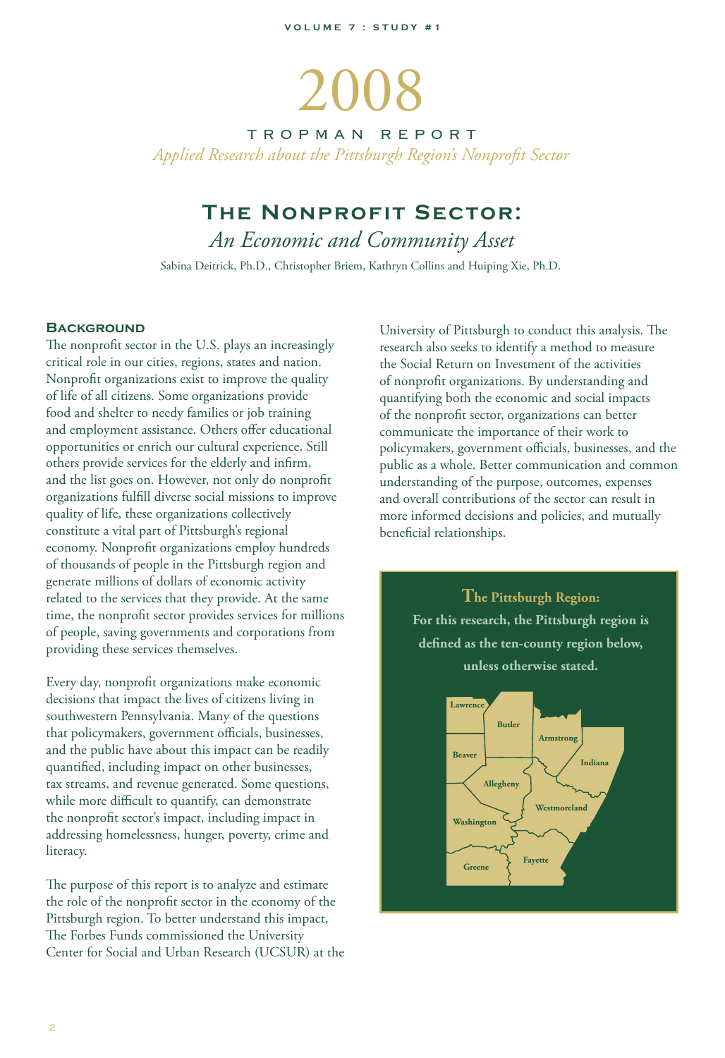# 2008

TROPMAN REPORT *Applied Research about the Pittsburgh Region's Nonprofit Sector*

# **The Nonprofit Sector:**

*An Economic and Community Asset*

Sabina Deitrick, Ph.D., Christopher Briem, Kathryn Collins and Huiping Xie, Ph.D.

#### **BACKGROUND**

The nonprofit sector in the U.S. plays an increasingly critical role in our cities, regions, states and nation. Nonprofit organizations exist to improve the quality of life of all citizens. Some organizations provide food and shelter to needy families or job training and employment assistance. Others offer educational opportunities or enrich our cultural experience. Still others provide services for the elderly and infirm, and the list goes on. However, not only do nonprofit organizations fulfill diverse social missions to improve quality of life, these organizations collectively constitute a vital part of Pittsburgh's regional economy. Nonprofit organizations employ hundreds of thousands of people in the Pittsburgh region and generate millions of dollars of economic activity related to the services that they provide. At the same time, the nonprofit sector provides services for millions of people, saving governments and corporations from providing these services themselves.

Every day, nonprofit organizations make economic decisions that impact the lives of citizens living in southwestern Pennsylvania. Many of the questions that policymakers, government officials, businesses, and the public have about this impact can be readily quantified, including impact on other businesses, tax streams, and revenue generated. Some questions, while more difficult to quantify, can demonstrate the nonprofit sector's impact, including impact in addressing homelessness, hunger, poverty, crime and literacy.

The purpose of this report is to analyze and estimate the role of the nonprofit sector in the economy of the Pittsburgh region. To better understand this impact, The Forbes Funds commissioned the University Center for Social and Urban Research (UCSUR) at the University of Pittsburgh to conduct this analysis. The research also seeks to identify a method to measure the Social Return on Investment of the activities of nonprofit organizations. By understanding and quantifying both the economic and social impacts of the nonprofit sector, organizations can better communicate the importance of their work to policymakers, government officials, businesses, and the public as a whole. Better communication and common understanding of the purpose, outcomes, expenses and overall contributions of the sector can result in more informed decisions and policies, and mutually beneficial relationships.

> **The Pittsburgh Region: For this research, the Pittsburgh region is defined as the ten-county region below, unless otherwise stated.**

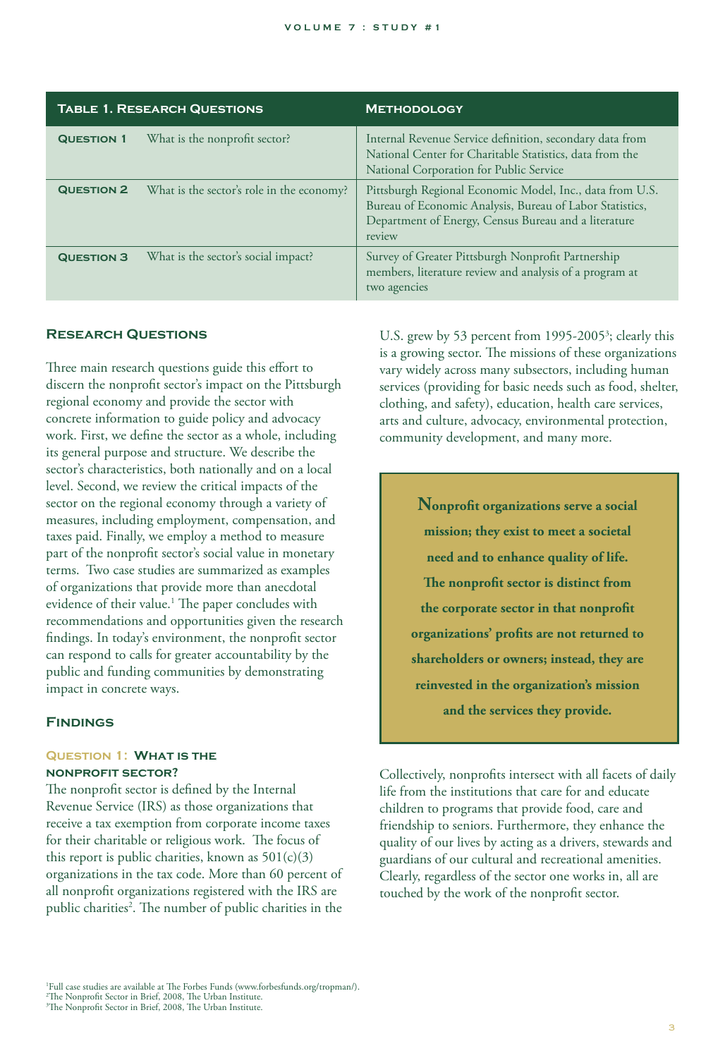| <b>TABLE 1. RESEARCH QUESTIONS</b> |                                           | <b>METHODOLOGY</b>                                                                                                                                                                     |  |
|------------------------------------|-------------------------------------------|----------------------------------------------------------------------------------------------------------------------------------------------------------------------------------------|--|
| <b>QUESTION 1</b>                  | What is the nonprofit sector?             | Internal Revenue Service definition, secondary data from<br>National Center for Charitable Statistics, data from the<br>National Corporation for Public Service                        |  |
| <b>QUESTION 2</b>                  | What is the sector's role in the economy? | Pittsburgh Regional Economic Model, Inc., data from U.S.<br>Bureau of Economic Analysis, Bureau of Labor Statistics,<br>Department of Energy, Census Bureau and a literature<br>review |  |
| <b>QUESTION 3</b>                  | What is the sector's social impact?       | Survey of Greater Pittsburgh Nonprofit Partnership<br>members, literature review and analysis of a program at<br>two agencies                                                          |  |

#### **Research Questions**

Three main research questions guide this effort to discern the nonprofit sector's impact on the Pittsburgh regional economy and provide the sector with concrete information to guide policy and advocacy work. First, we define the sector as a whole, including its general purpose and structure. We describe the sector's characteristics, both nationally and on a local level. Second, we review the critical impacts of the sector on the regional economy through a variety of measures, including employment, compensation, and taxes paid. Finally, we employ a method to measure part of the nonprofit sector's social value in monetary terms. Two case studies are summarized as examples of organizations that provide more than anecdotal evidence of their value.<sup>1</sup> The paper concludes with recommendations and opportunities given the research findings. In today's environment, the nonprofit sector can respond to calls for greater accountability by the public and funding communities by demonstrating impact in concrete ways.

#### **Findings**

#### **Question 1: What is the nonprofit sector?**

The nonprofit sector is defined by the Internal Revenue Service (IRS) as those organizations that receive a tax exemption from corporate income taxes for their charitable or religious work. The focus of this report is public charities, known as  $501(c)(3)$ organizations in the tax code. More than 60 percent of all nonprofit organizations registered with the IRS are public charities<sup>2</sup>. The number of public charities in the

U.S. grew by 53 percent from 1995-2005<sup>3</sup>; clearly this is a growing sector. The missions of these organizations vary widely across many subsectors, including human services (providing for basic needs such as food, shelter, clothing, and safety), education, health care services, arts and culture, advocacy, environmental protection, community development, and many more.

> **Nonprofit organizations serve a social mission; they exist to meet a societal need and to enhance quality of life. The nonprofit sector is distinct from the corporate sector in that nonprofit organizations' profits are not returned to shareholders or owners; instead, they are reinvested in the organization's mission and the services they provide.**

Collectively, nonprofits intersect with all facets of daily life from the institutions that care for and educate children to programs that provide food, care and friendship to seniors. Furthermore, they enhance the quality of our lives by acting as a drivers, stewards and guardians of our cultural and recreational amenities. Clearly, regardless of the sector one works in, all are touched by the work of the nonprofit sector.

<sup>1</sup> Full case studies are available at The Forbes Funds (www.forbesfunds.org/tropman/).

<sup>2</sup> The Nonprofit Sector in Brief, 2008, The Urban Institute. 3 The Nonprofit Sector in Brief, 2008, The Urban Institute.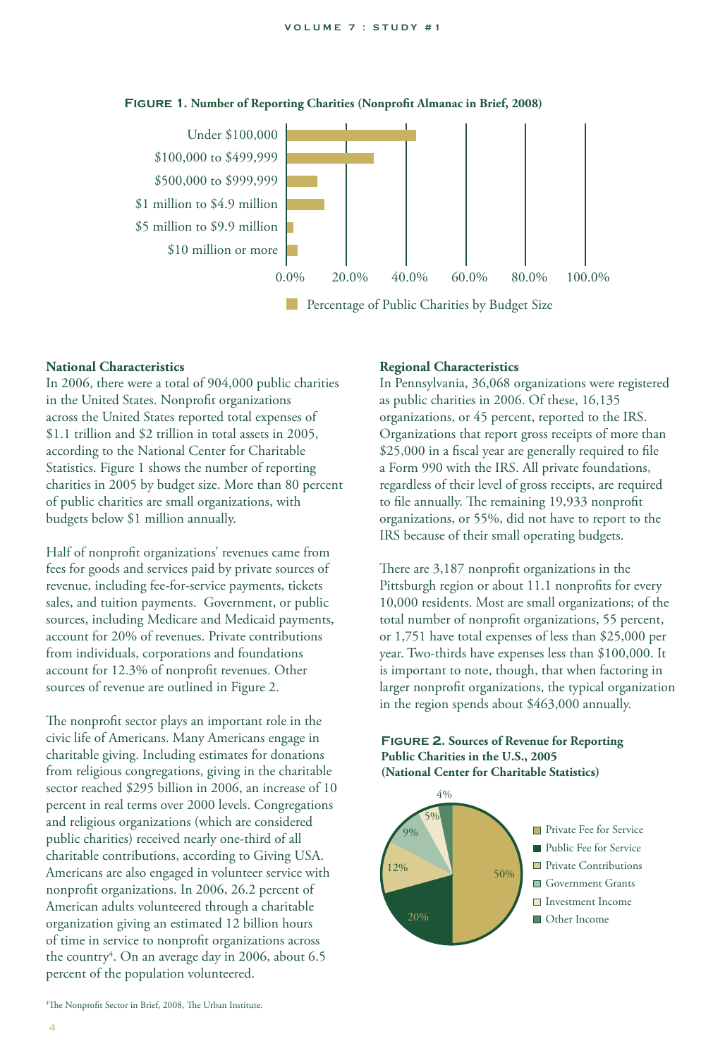

#### **Figure 1. Number of Reporting Charities (Nonprofit Almanac in Brief, 2008)**

**Percentage of Public Charities by Budget Size** 

#### **National Characteristics**

In 2006, there were a total of 904,000 public charities in the United States. Nonprofit organizations across the United States reported total expenses of \$1.1 trillion and \$2 trillion in total assets in 2005, according to the National Center for Charitable Statistics. Figure 1 shows the number of reporting charities in 2005 by budget size. More than 80 percent of public charities are small organizations, with budgets below \$1 million annually.

Half of nonprofit organizations' revenues came from fees for goods and services paid by private sources of revenue, including fee-for-service payments, tickets sales, and tuition payments. Government, or public sources, including Medicare and Medicaid payments, account for 20% of revenues. Private contributions from individuals, corporations and foundations account for 12.3% of nonprofit revenues. Other sources of revenue are outlined in Figure 2.

The nonprofit sector plays an important role in the civic life of Americans. Many Americans engage in charitable giving. Including estimates for donations from religious congregations, giving in the charitable sector reached \$295 billion in 2006, an increase of 10 percent in real terms over 2000 levels. Congregations and religious organizations (which are considered public charities) received nearly one-third of all charitable contributions, according to Giving USA. Americans are also engaged in volunteer service with nonprofit organizations. In 2006, 26.2 percent of American adults volunteered through a charitable organization giving an estimated 12 billion hours of time in service to nonprofit organizations across the country<sup>4</sup>. On an average day in 2006, about 6.5 percent of the population volunteered.

#### **Regional Characteristics**

In Pennsylvania, 36,068 organizations were registered as public charities in 2006. Of these, 16,135 organizations, or 45 percent, reported to the IRS. Organizations that report gross receipts of more than \$25,000 in a fiscal year are generally required to file a Form 990 with the IRS. All private foundations, regardless of their level of gross receipts, are required to file annually. The remaining 19,933 nonprofit organizations, or 55%, did not have to report to the IRS because of their small operating budgets.

There are 3,187 nonprofit organizations in the Pittsburgh region or about 11.1 nonprofits for every 10,000 residents. Most are small organizations; of the total number of nonprofit organizations, 55 percent, or 1,751 have total expenses of less than \$25,000 per year. Two-thirds have expenses less than \$100,000. It is important to note, though, that when factoring in larger nonprofit organizations, the typical organization in the region spends about \$463,000 annually.



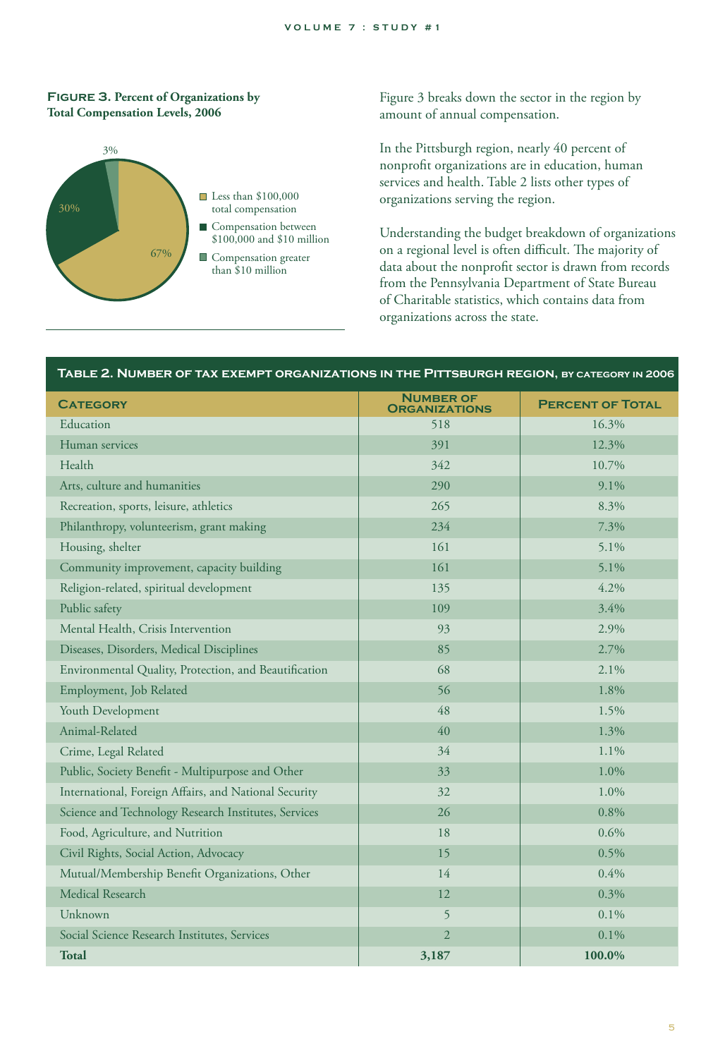#### **Figure 3. Percent of Organizations by Total Compensation Levels, 2006**



Figure 3 breaks down the sector in the region by amount of annual compensation.

In the Pittsburgh region, nearly 40 percent of nonprofit organizations are in education, human services and health. Table 2 lists other types of organizations serving the region.

Understanding the budget breakdown of organizations on a regional level is often difficult. The majority of data about the nonprofit sector is drawn from records from the Pennsylvania Department of State Bureau of Charitable statistics, which contains data from organizations across the state.

#### **Table 2. Number of tax exempt organizations in the Pittsburgh region, by category in 2006**

| <b>CATEGORY</b>                                       | <b>NUMBER OF</b><br><b>ORGANIZATIONS</b> | <b>PERCENT OF TOTAL</b> |
|-------------------------------------------------------|------------------------------------------|-------------------------|
| Education                                             | 518                                      | 16.3%                   |
| Human services                                        | 391                                      | 12.3%                   |
| Health                                                | 342                                      | 10.7%                   |
| Arts, culture and humanities                          | 290                                      | 9.1%                    |
| Recreation, sports, leisure, athletics                | 265                                      | 8.3%                    |
| Philanthropy, volunteerism, grant making              | 234                                      | 7.3%                    |
| Housing, shelter                                      | 161                                      | 5.1%                    |
| Community improvement, capacity building              | 161                                      | 5.1%                    |
| Religion-related, spiritual development               | 135                                      | 4.2%                    |
| Public safety                                         | 109                                      | 3.4%                    |
| Mental Health, Crisis Intervention                    | 93                                       | 2.9%                    |
| Diseases, Disorders, Medical Disciplines              | 85                                       | 2.7%                    |
| Environmental Quality, Protection, and Beautification | 68                                       | 2.1%                    |
| Employment, Job Related                               | 56                                       | 1.8%                    |
| Youth Development                                     | 48                                       | 1.5%                    |
| Animal-Related                                        | 40                                       | 1.3%                    |
| Crime, Legal Related                                  | 34                                       | 1.1%                    |
| Public, Society Benefit - Multipurpose and Other      | 33                                       | 1.0%                    |
| International, Foreign Affairs, and National Security | 32                                       | 1.0%                    |
| Science and Technology Research Institutes, Services  | 26                                       | 0.8%                    |
| Food, Agriculture, and Nutrition                      | 18                                       | 0.6%                    |
| Civil Rights, Social Action, Advocacy                 | 15                                       | 0.5%                    |
| Mutual/Membership Benefit Organizations, Other        | 14                                       | 0.4%                    |
| <b>Medical Research</b>                               | 12                                       | 0.3%                    |
| Unknown                                               | 5                                        | 0.1%                    |
| Social Science Research Institutes, Services          | $\overline{2}$                           | 0.1%                    |
| <b>Total</b>                                          | 3,187                                    | 100.0%                  |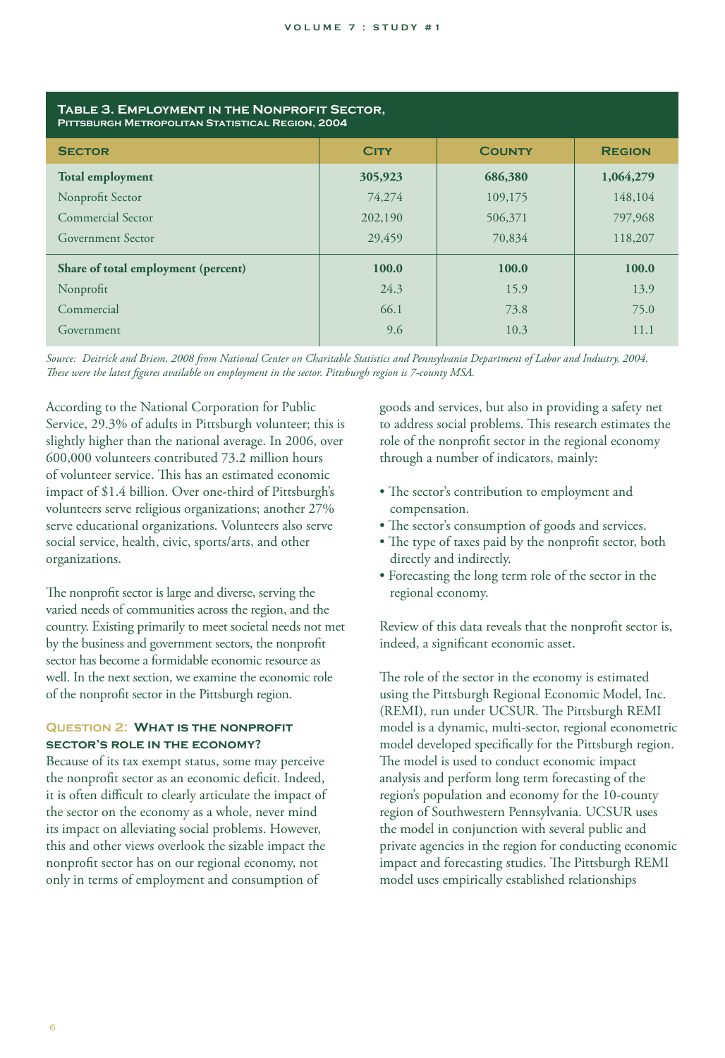| TABLE 3. EMPLOYMENT IN THE NONPROFIT SECTOR,<br>PITTSBURGH METROPOLITAN STATISTICAL REGION, 2004 |             |               |               |  |
|--------------------------------------------------------------------------------------------------|-------------|---------------|---------------|--|
| <b>SECTOR</b>                                                                                    | <b>CITY</b> | <b>COUNTY</b> | <b>REGION</b> |  |
| <b>Total employment</b>                                                                          | 305,923     | 686,380       | 1,064,279     |  |
| Nonprofit Sector                                                                                 | 74,274      | 109,175       | 148,104       |  |
| Commercial Sector                                                                                | 202,190     | 506,371       | 797,968       |  |
| <b>Government Sector</b>                                                                         | 29,459      | 70,834        | 118,207       |  |
| Share of total employment (percent)                                                              | 100.0       | 100.0         | 100.0         |  |
| Nonprofit                                                                                        | 24.3        | 15.9          | 13.9          |  |
| Commercial                                                                                       | 66.1        | 73.8          | 75.0          |  |
| Government                                                                                       | 9.6         | 10.3          | 11.1          |  |

*Source: Deitrick and Briem, 2008 from National Center on Charitable Statistics and Pennsylvania Department of Labor and Industry, 2004. These were the latest figures available on employment in the sector. Pittsburgh region is 7-county MSA.*

According to the National Corporation for Public Service, 29.3% of adults in Pittsburgh volunteer; this is slightly higher than the national average. In 2006, over 600,000 volunteers contributed 73.2 million hours of volunteer service. This has an estimated economic impact of \$1.4 billion. Over one-third of Pittsburgh's volunteers serve religious organizations; another 27% serve educational organizations. Volunteers also serve social service, health, civic, sports/arts, and other organizations.

The nonprofit sector is large and diverse, serving the varied needs of communities across the region, and the country. Existing primarily to meet societal needs not met by the business and government sectors, the nonprofit sector has become a formidable economic resource as well. In the next section, we examine the economic role of the nonprofit sector in the Pittsburgh region.

#### **Question 2: What is the nonprofit sector's role in the economy?**

Because of its tax exempt status, some may perceive the nonprofit sector as an economic deficit. Indeed, it is often difficult to clearly articulate the impact of the sector on the economy as a whole, never mind its impact on alleviating social problems. However, this and other views overlook the sizable impact the nonprofit sector has on our regional economy, not only in terms of employment and consumption of

goods and services, but also in providing a safety net to address social problems. This research estimates the role of the nonprofit sector in the regional economy through a number of indicators, mainly:

- The sector's contribution to employment and compensation.
- The sector's consumption of goods and services.
- The type of taxes paid by the nonprofit sector, both directly and indirectly.
- Forecasting the long term role of the sector in the regional economy.

Review of this data reveals that the nonprofit sector is, indeed, a significant economic asset.

The role of the sector in the economy is estimated using the Pittsburgh Regional Economic Model, Inc. (REMI), run under UCSUR. The Pittsburgh REMI model is a dynamic, multi-sector, regional econometric model developed specifically for the Pittsburgh region. The model is used to conduct economic impact analysis and perform long term forecasting of the region's population and economy for the 10-county region of Southwestern Pennsylvania. UCSUR uses the model in conjunction with several public and private agencies in the region for conducting economic impact and forecasting studies. The Pittsburgh REMI model uses empirically established relationships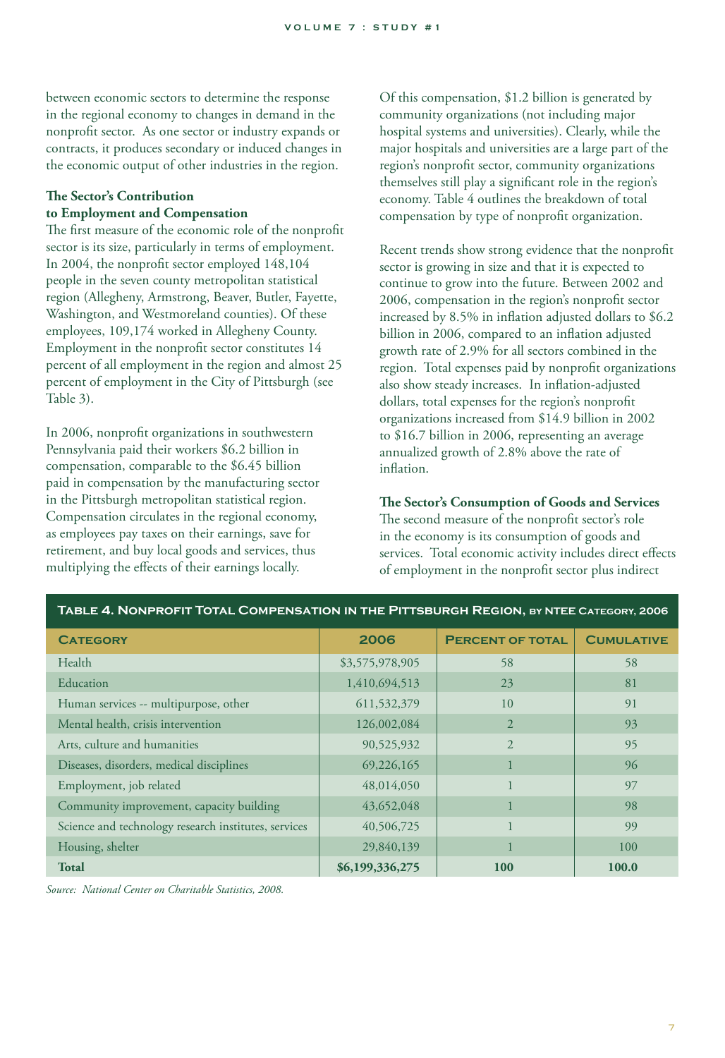between economic sectors to determine the response in the regional economy to changes in demand in the nonprofit sector. As one sector or industry expands or contracts, it produces secondary or induced changes in the economic output of other industries in the region.

#### **The Sector's Contribution to Employment and Compensation**

The first measure of the economic role of the nonprofit sector is its size, particularly in terms of employment. In 2004, the nonprofit sector employed 148,104 people in the seven county metropolitan statistical region (Allegheny, Armstrong, Beaver, Butler, Fayette, Washington, and Westmoreland counties). Of these employees, 109,174 worked in Allegheny County. Employment in the nonprofit sector constitutes 14 percent of all employment in the region and almost 25 percent of employment in the City of Pittsburgh (see Table 3).

In 2006, nonprofit organizations in southwestern Pennsylvania paid their workers \$6.2 billion in compensation, comparable to the \$6.45 billion paid in compensation by the manufacturing sector in the Pittsburgh metropolitan statistical region. Compensation circulates in the regional economy, as employees pay taxes on their earnings, save for retirement, and buy local goods and services, thus multiplying the effects of their earnings locally.

Of this compensation, \$1.2 billion is generated by community organizations (not including major hospital systems and universities). Clearly, while the major hospitals and universities are a large part of the region's nonprofit sector, community organizations themselves still play a significant role in the region's economy. Table 4 outlines the breakdown of total compensation by type of nonprofit organization.

Recent trends show strong evidence that the nonprofit sector is growing in size and that it is expected to continue to grow into the future. Between 2002 and 2006, compensation in the region's nonprofit sector increased by 8.5% in inflation adjusted dollars to \$6.2 billion in 2006, compared to an inflation adjusted growth rate of 2.9% for all sectors combined in the region. Total expenses paid by nonprofit organizations also show steady increases. In inflation-adjusted dollars, total expenses for the region's nonprofit organizations increased from \$14.9 billion in 2002 to \$16.7 billion in 2006, representing an average annualized growth of 2.8% above the rate of inflation.

#### **The Sector's Consumption of Goods and Services**

The second measure of the nonprofit sector's role in the economy is its consumption of goods and services. Total economic activity includes direct effects of employment in the nonprofit sector plus indirect

| TABLE 4. NONPROFIT TOTAL COMPENSATION IN THE PITTSBURGH REGION, BY NTEE CATEGORY, 2006 |                 |                         |                   |  |
|----------------------------------------------------------------------------------------|-----------------|-------------------------|-------------------|--|
| <b>CATEGORY</b>                                                                        | 2006            | <b>PERCENT OF TOTAL</b> | <b>CUMULATIVE</b> |  |
| Health                                                                                 | \$3,575,978,905 | 58                      | 58                |  |
| Education                                                                              | 1,410,694,513   | 23                      | 81                |  |
| Human services -- multipurpose, other                                                  | 611,532,379     | 10                      | 91                |  |
| Mental health, crisis intervention                                                     | 126,002,084     | 2                       | 93                |  |
| Arts, culture and humanities                                                           | 90,525,932      | $\overline{2}$          | 95                |  |
| Diseases, disorders, medical disciplines                                               | 69,226,165      |                         | 96                |  |
| Employment, job related                                                                | 48,014,050      |                         | 97                |  |
| Community improvement, capacity building                                               | 43,652,048      |                         | 98                |  |
| Science and technology research institutes, services                                   | 40,506,725      |                         | 99                |  |
| Housing, shelter                                                                       | 29,840,139      |                         | 100               |  |
| <b>Total</b>                                                                           | \$6,199,336,275 | <b>100</b>              | 100.0             |  |

*Source: National Center on Charitable Statistics, 2008.*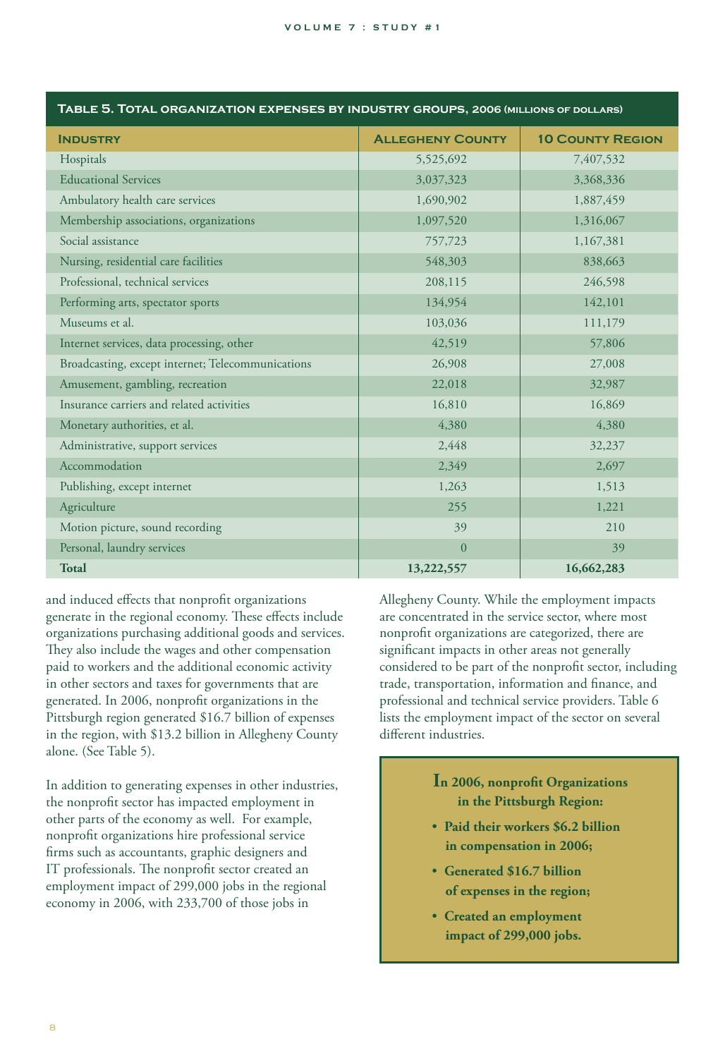| <b>INDUSTRY</b>                                   | <b>ALLEGHENY COUNTY</b> | <b>10 COUNTY REGION</b> |
|---------------------------------------------------|-------------------------|-------------------------|
| Hospitals                                         | 5,525,692               | 7,407,532               |
| <b>Educational Services</b>                       | 3,037,323               | 3,368,336               |
| Ambulatory health care services                   | 1,690,902               | 1,887,459               |
| Membership associations, organizations            | 1,097,520               | 1,316,067               |
| Social assistance                                 | 757,723                 | 1,167,381               |
| Nursing, residential care facilities              | 548,303                 | 838,663                 |
| Professional, technical services                  | 208,115                 | 246,598                 |
| Performing arts, spectator sports                 | 134,954                 | 142,101                 |
| Museums et al.                                    | 103,036                 | 111,179                 |
| Internet services, data processing, other         | 42,519                  | 57,806                  |
| Broadcasting, except internet; Telecommunications | 26,908                  | 27,008                  |
| Amusement, gambling, recreation                   | 22,018                  | 32,987                  |
| Insurance carriers and related activities         | 16,810                  | 16,869                  |
| Monetary authorities, et al.                      | 4,380                   | 4,380                   |
| Administrative, support services                  | 2,448                   | 32,237                  |
| Accommodation                                     | 2,349                   | 2,697                   |
| Publishing, except internet                       | 1,263                   | 1,513                   |
| Agriculture                                       | 255                     | 1,221                   |
| Motion picture, sound recording                   | 39                      | 210                     |
| Personal, laundry services                        | $\overline{0}$          | 39                      |
| <b>Total</b>                                      | 13,222,557              | 16,662,283              |

**Table 5. Total organization expenses by industry groups, 2006 (millions of dollars)**

and induced effects that nonprofit organizations generate in the regional economy. These effects include organizations purchasing additional goods and services. They also include the wages and other compensation paid to workers and the additional economic activity in other sectors and taxes for governments that are generated. In 2006, nonprofit organizations in the Pittsburgh region generated \$16.7 billion of expenses in the region, with \$13.2 billion in Allegheny County alone. (See Table 5).

In addition to generating expenses in other industries, the nonprofit sector has impacted employment in other parts of the economy as well. For example, nonprofit organizations hire professional service firms such as accountants, graphic designers and IT professionals. The nonprofit sector created an employment impact of 299,000 jobs in the regional economy in 2006, with 233,700 of those jobs in

Allegheny County. While the employment impacts are concentrated in the service sector, where most nonprofit organizations are categorized, there are significant impacts in other areas not generally considered to be part of the nonprofit sector, including trade, transportation, information and finance, and professional and technical service providers. Table 6 lists the employment impact of the sector on several different industries.

## **In 2006, nonprofit Organizations in the Pittsburgh Region:**

- **Paid their workers \$6.2 billion in compensation in 2006;**
- **Generated \$16.7 billion of expenses in the region;**
- **Created an employment impact of 299,000 jobs.**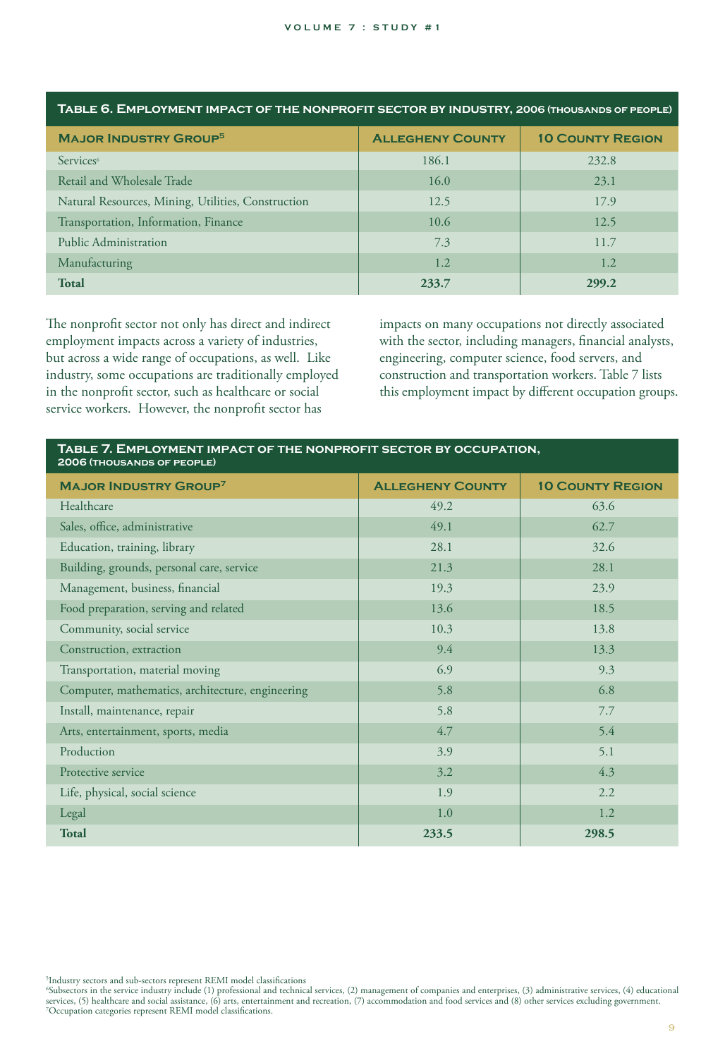| <b>MAJOR INDUSTRY GROUP<sup>5</sup></b>            | <b>ALLEGHENY COUNTY</b> | <b>10 COUNTY REGION</b> |
|----------------------------------------------------|-------------------------|-------------------------|
| Services <sup>6</sup>                              | 186.1                   | 232.8                   |
| Retail and Wholesale Trade                         | 16.0                    | 23.1                    |
| Natural Resources, Mining, Utilities, Construction | 12.5                    | 17.9                    |
| Transportation, Information, Finance               | 10.6                    | 12.5                    |
| Public Administration                              | 7.3                     | 11.7                    |
| Manufacturing                                      | 1.2                     | 1.2                     |
| <b>Total</b>                                       | 233.7                   | 299.2                   |

**Table 6. Employment impact of the nonprofit sector by industry, 2006 (thousands of people)**

The nonprofit sector not only has direct and indirect employment impacts across a variety of industries, but across a wide range of occupations, as well. Like industry, some occupations are traditionally employed in the nonprofit sector, such as healthcare or social service workers. However, the nonprofit sector has

impacts on many occupations not directly associated with the sector, including managers, financial analysts, engineering, computer science, food servers, and construction and transportation workers. Table 7 lists this employment impact by different occupation groups.

| TABLE 7. EMPLOYMENT IMPACT OF THE NONPROFIT SECTOR BY OCCUPATION,<br>2006 (THOUSANDS OF PEOPLE) |                         |                         |  |
|-------------------------------------------------------------------------------------------------|-------------------------|-------------------------|--|
| <b>MAJOR INDUSTRY GROUP<sup>7</sup></b>                                                         | <b>ALLEGHENY COUNTY</b> | <b>10 COUNTY REGION</b> |  |
| Healthcare                                                                                      | 49.2                    | 63.6                    |  |
| Sales, office, administrative                                                                   | 49.1                    | 62.7                    |  |
| Education, training, library                                                                    | 28.1                    | 32.6                    |  |
| Building, grounds, personal care, service                                                       | 21.3                    | 28.1                    |  |
| Management, business, financial                                                                 | 19.3                    | 23.9                    |  |
| Food preparation, serving and related                                                           | 13.6                    | 18.5                    |  |
| Community, social service                                                                       | 10.3                    | 13.8                    |  |
| Construction, extraction                                                                        | 9.4                     | 13.3                    |  |
| Transportation, material moving                                                                 | 6.9                     | 9.3                     |  |
| Computer, mathematics, architecture, engineering                                                | 5.8                     | 6.8                     |  |
| Install, maintenance, repair                                                                    | 5.8                     | 7.7                     |  |
| Arts, entertainment, sports, media                                                              | 4.7                     | 5.4                     |  |
| Production                                                                                      | 3.9                     | 5.1                     |  |
| Protective service                                                                              | 3.2                     | 4.3                     |  |
| Life, physical, social science                                                                  | 1.9                     | 2.2                     |  |
| Legal                                                                                           | 1.0                     | 1.2                     |  |
| <b>Total</b>                                                                                    | 233.5                   | 298.5                   |  |

5 Industry sectors and sub-sectors represent REMI model classifications

6 Subsectors in the service industry include (1) professional and technical services, (2) management of companies and enterprises, (3) administrative services, (4) educational services, (5) healthcare and social assistance, (6) arts, entertainment and recreation, (7) accommodation and food services and (8) other services excluding government.<br><sup>7</sup>Occupation categories represent REMI model classif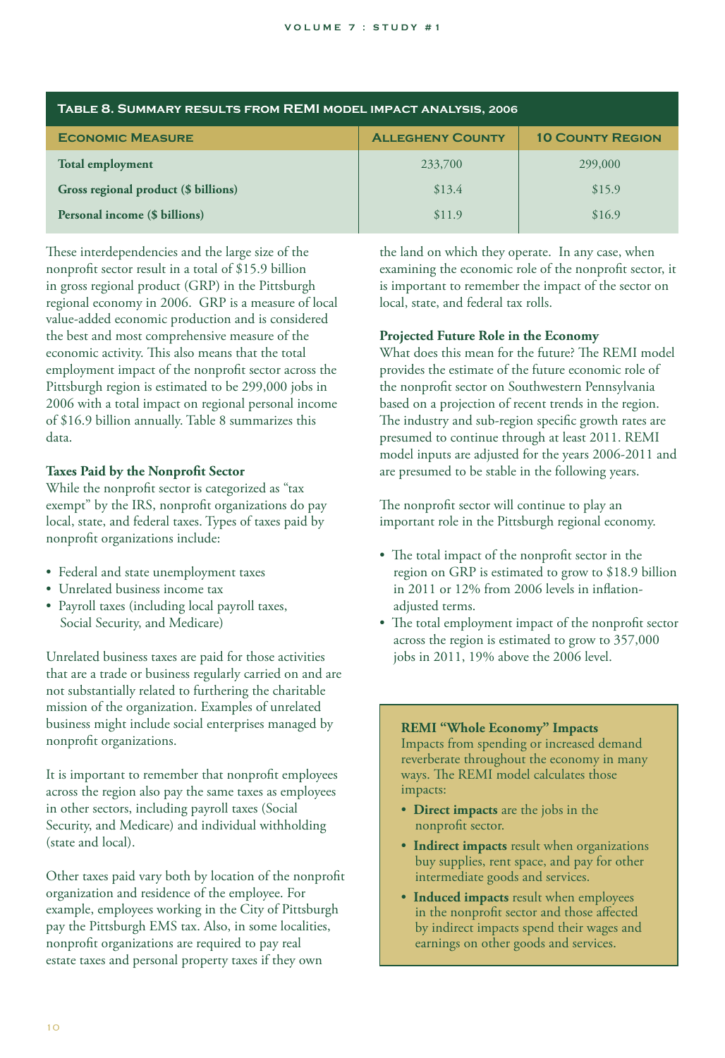| TABLE 8. SUMMARY RESULTS FROM REMI MODEL IMPACT ANALYSIS, 2006 |                         |                         |  |
|----------------------------------------------------------------|-------------------------|-------------------------|--|
| <b>ECONOMIC MEASURE</b>                                        | <b>ALLEGHENY COUNTY</b> | <b>10 COUNTY REGION</b> |  |
| <b>Total employment</b>                                        | 233,700                 | 299,000                 |  |
| Gross regional product (\$ billions)                           | \$13.4                  | \$15.9                  |  |
| Personal income (\$ billions)<br>\$16.9<br>\$11.9              |                         |                         |  |

These interdependencies and the large size of the nonprofit sector result in a total of \$15.9 billion in gross regional product (GRP) in the Pittsburgh regional economy in 2006. GRP is a measure of local value-added economic production and is considered the best and most comprehensive measure of the economic activity. This also means that the total employment impact of the nonprofit sector across the Pittsburgh region is estimated to be 299,000 jobs in 2006 with a total impact on regional personal income of \$16.9 billion annually. Table 8 summarizes this data.

#### **Taxes Paid by the Nonprofit Sector**

While the nonprofit sector is categorized as "tax exempt" by the IRS, nonprofit organizations do pay local, state, and federal taxes. Types of taxes paid by nonprofit organizations include:

- Federal and state unemployment taxes
- Unrelated business income tax
- Payroll taxes (including local payroll taxes, Social Security, and Medicare)

Unrelated business taxes are paid for those activities that are a trade or business regularly carried on and are not substantially related to furthering the charitable mission of the organization. Examples of unrelated business might include social enterprises managed by nonprofit organizations.

It is important to remember that nonprofit employees across the region also pay the same taxes as employees in other sectors, including payroll taxes (Social Security, and Medicare) and individual withholding (state and local).

Other taxes paid vary both by location of the nonprofit organization and residence of the employee. For example, employees working in the City of Pittsburgh pay the Pittsburgh EMS tax. Also, in some localities, nonprofit organizations are required to pay real estate taxes and personal property taxes if they own

the land on which they operate. In any case, when examining the economic role of the nonprofit sector, it is important to remember the impact of the sector on local, state, and federal tax rolls.

#### **Projected Future Role in the Economy**

What does this mean for the future? The REMI model provides the estimate of the future economic role of the nonprofit sector on Southwestern Pennsylvania based on a projection of recent trends in the region. The industry and sub-region specific growth rates are presumed to continue through at least 2011. REMI model inputs are adjusted for the years 2006-2011 and are presumed to be stable in the following years.

The nonprofit sector will continue to play an important role in the Pittsburgh regional economy.

- The total impact of the nonprofit sector in the region on GRP is estimated to grow to \$18.9 billion in 2011 or 12% from 2006 levels in inflation adjusted terms.
- The total employment impact of the nonprofit sector across the region is estimated to grow to 357,000 jobs in 2011, 19% above the 2006 level.

### **REMI "Whole Economy" Impacts**

Impacts from spending or increased demand reverberate throughout the economy in many ways. The REMI model calculates those impacts:

- **Direct impacts** are the jobs in the nonprofit sector.
- **Indirect impacts** result when organizations buy supplies, rent space, and pay for other intermediate goods and services.
- **Induced impacts** result when employees in the nonprofit sector and those affected by indirect impacts spend their wages and earnings on other goods and services.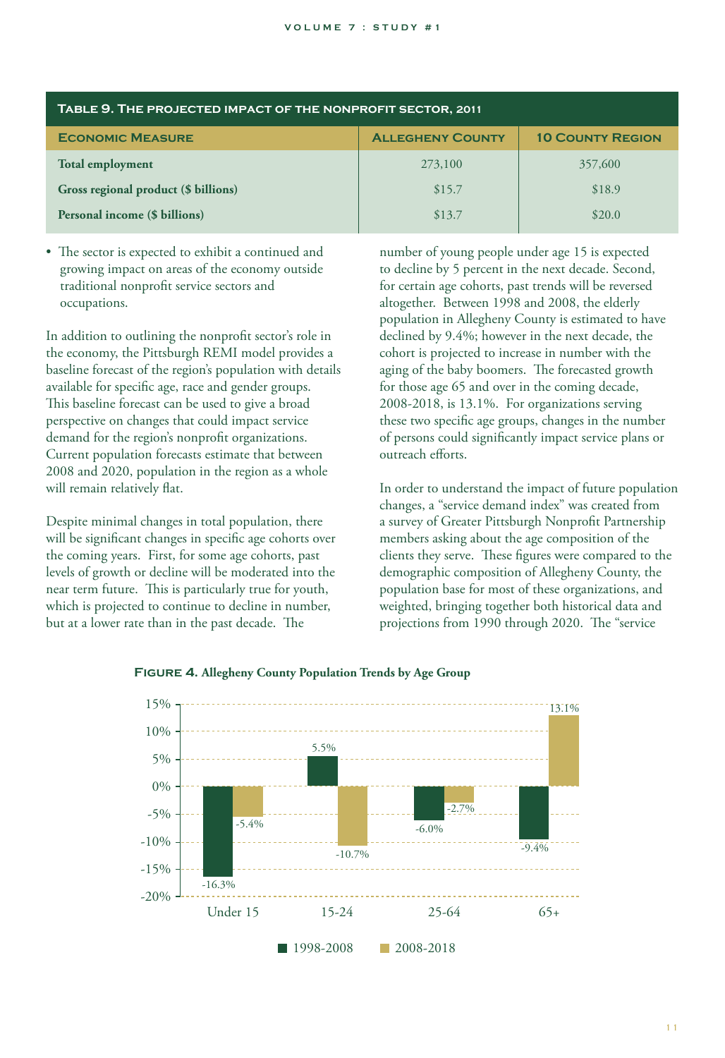| TABLE 9. THE PROJECTED IMPACT OF THE NONPROFIT SECTOR, 2011 |                         |                         |  |
|-------------------------------------------------------------|-------------------------|-------------------------|--|
| <b>ECONOMIC MEASURE</b>                                     | <b>ALLEGHENY COUNTY</b> | <b>10 COUNTY REGION</b> |  |
| <b>Total employment</b>                                     | 273,100                 | 357,600                 |  |
| Gross regional product (\$ billions)                        | \$15.7                  | \$18.9                  |  |
| Personal income (\$ billions)                               | \$13.7                  | \$20.0                  |  |

• The sector is expected to exhibit a continued and growing impact on areas of the economy outside traditional nonprofit service sectors and occupations.

In addition to outlining the nonprofit sector's role in the economy, the Pittsburgh REMI model provides a baseline forecast of the region's population with details available for specific age, race and gender groups. This baseline forecast can be used to give a broad perspective on changes that could impact service demand for the region's nonprofit organizations. Current population forecasts estimate that between 2008 and 2020, population in the region as a whole will remain relatively flat.

Despite minimal changes in total population, there will be significant changes in specific age cohorts over the coming years. First, for some age cohorts, past levels of growth or decline will be moderated into the near term future. This is particularly true for youth, which is projected to continue to decline in number, but at a lower rate than in the past decade. The

number of young people under age 15 is expected to decline by 5 percent in the next decade. Second, for certain age cohorts, past trends will be reversed altogether. Between 1998 and 2008, the elderly population in Allegheny County is estimated to have declined by 9.4%; however in the next decade, the cohort is projected to increase in number with the aging of the baby boomers. The forecasted growth for those age 65 and over in the coming decade, 2008-2018, is 13.1%. For organizations serving these two specific age groups, changes in the number of persons could significantly impact service plans or outreach efforts.

In order to understand the impact of future population changes, a "service demand index" was created from a survey of Greater Pittsburgh Nonprofit Partnership members asking about the age composition of the clients they serve. These figures were compared to the demographic composition of Allegheny County, the population base for most of these organizations, and weighted, bringing together both historical data and projections from 1990 through 2020. The "service



#### **Figure 4. Allegheny County Population Trends by Age Group**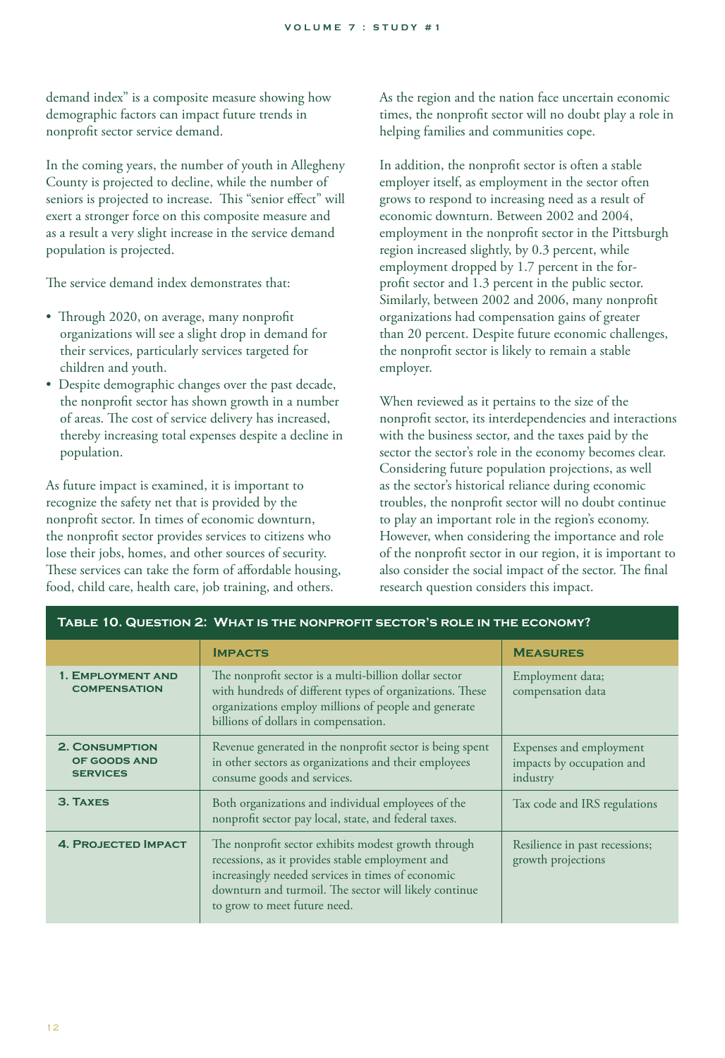demand index" is a composite measure showing how demographic factors can impact future trends in nonprofit sector service demand.

In the coming years, the number of youth in Allegheny County is projected to decline, while the number of seniors is projected to increase. This "senior effect" will exert a stronger force on this composite measure and as a result a very slight increase in the service demand population is projected.

The service demand index demonstrates that:

- Through 2020, on average, many nonprofit organizations will see a slight drop in demand for their services, particularly services targeted for children and youth.
- Despite demographic changes over the past decade, the nonprofit sector has shown growth in a number of areas. The cost of service delivery has increased, thereby increasing total expenses despite a decline in population.

As future impact is examined, it is important to recognize the safety net that is provided by the nonprofit sector. In times of economic downturn, the nonprofit sector provides services to citizens who lose their jobs, homes, and other sources of security. These services can take the form of affordable housing, food, child care, health care, job training, and others.

As the region and the nation face uncertain economic times, the nonprofit sector will no doubt play a role in helping families and communities cope.

In addition, the nonprofit sector is often a stable employer itself, as employment in the sector often grows to respond to increasing need as a result of economic downturn. Between 2002 and 2004, employment in the nonprofit sector in the Pittsburgh region increased slightly, by 0.3 percent, while employment dropped by 1.7 percent in the forprofit sector and 1.3 percent in the public sector. Similarly, between 2002 and 2006, many nonprofit organizations had compensation gains of greater than 20 percent. Despite future economic challenges, the nonprofit sector is likely to remain a stable employer.

When reviewed as it pertains to the size of the nonprofit sector, its interdependencies and interactions with the business sector, and the taxes paid by the sector the sector's role in the economy becomes clear. Considering future population projections, as well as the sector's historical reliance during economic troubles, the nonprofit sector will no doubt continue to play an important role in the region's economy. However, when considering the importance and role of the nonprofit sector in our region, it is important to also consider the social impact of the sector. The final research question considers this impact.

| TABLE 10. QUESTION 2: WHAT IS THE NONPROFIT SECTOR'S ROLE IN THE ECONOMY? |                                                                                                                                                                                                                                                       |                                                                  |
|---------------------------------------------------------------------------|-------------------------------------------------------------------------------------------------------------------------------------------------------------------------------------------------------------------------------------------------------|------------------------------------------------------------------|
|                                                                           | <b>IMPACTS</b>                                                                                                                                                                                                                                        | <b>MEASURES</b>                                                  |
| 1. EMPLOYMENT AND<br><b>COMPENSATION</b>                                  | The nonprofit sector is a multi-billion dollar sector<br>with hundreds of different types of organizations. These<br>organizations employ millions of people and generate<br>billions of dollars in compensation.                                     | Employment data;<br>compensation data                            |
| <b>2. CONSUMPTION</b><br>OF GOODS AND<br><b>SERVICES</b>                  | Revenue generated in the nonprofit sector is being spent<br>in other sectors as organizations and their employees<br>consume goods and services.                                                                                                      | Expenses and employment<br>impacts by occupation and<br>industry |
| <b>3. TAXES</b>                                                           | Both organizations and individual employees of the<br>nonprofit sector pay local, state, and federal taxes.                                                                                                                                           | Tax code and IRS regulations                                     |
| <b>4. PROJECTED IMPACT</b>                                                | The nonprofit sector exhibits modest growth through<br>recessions, as it provides stable employment and<br>increasingly needed services in times of economic<br>downturn and turmoil. The sector will likely continue<br>to grow to meet future need. | Resilience in past recessions;<br>growth projections             |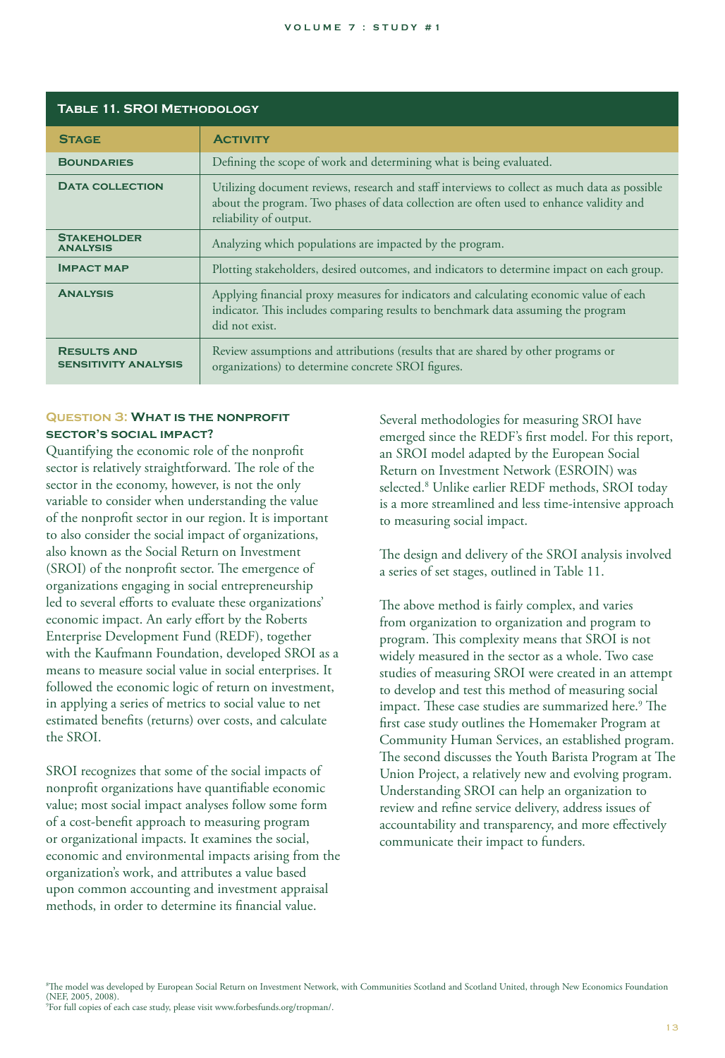| <b>TABLE 11. SROI METHODOLOGY</b>                 |                                                                                                                                                                                                                    |  |
|---------------------------------------------------|--------------------------------------------------------------------------------------------------------------------------------------------------------------------------------------------------------------------|--|
| <b>STAGE</b>                                      | <b>ACTIVITY</b>                                                                                                                                                                                                    |  |
| <b>BOUNDARIES</b>                                 | Defining the scope of work and determining what is being evaluated.                                                                                                                                                |  |
| <b>DATA COLLECTION</b>                            | Utilizing document reviews, research and staff interviews to collect as much data as possible<br>about the program. Two phases of data collection are often used to enhance validity and<br>reliability of output. |  |
| <b>STAKEHOLDER</b><br><b>ANALYSIS</b>             | Analyzing which populations are impacted by the program.                                                                                                                                                           |  |
| <b>IMPACT MAP</b>                                 | Plotting stakeholders, desired outcomes, and indicators to determine impact on each group.                                                                                                                         |  |
| <b>ANALYSIS</b>                                   | Applying financial proxy measures for indicators and calculating economic value of each<br>indicator. This includes comparing results to benchmark data assuming the program<br>did not exist.                     |  |
| <b>RESULTS AND</b><br><b>SENSITIVITY ANALYSIS</b> | Review assumptions and attributions (results that are shared by other programs or<br>organizations) to determine concrete SROI figures.                                                                            |  |

#### **Question 3: What is the nonprofit sector's social impact?**

Quantifying the economic role of the nonprofit sector is relatively straightforward. The role of the sector in the economy, however, is not the only variable to consider when understanding the value of the nonprofit sector in our region. It is important to also consider the social impact of organizations, also known as the Social Return on Investment (SROI) of the nonprofit sector. The emergence of organizations engaging in social entrepreneurship led to several efforts to evaluate these organizations' economic impact. An early effort by the Roberts Enterprise Development Fund (REDF), together with the Kaufmann Foundation, developed SROI as a means to measure social value in social enterprises. It followed the economic logic of return on investment, in applying a series of metrics to social value to net estimated benefits (returns) over costs, and calculate the SROI.

SROI recognizes that some of the social impacts of nonprofit organizations have quantifiable economic value; most social impact analyses follow some form of a cost-benefit approach to measuring program or organizational impacts. It examines the social, economic and environmental impacts arising from the organization's work, and attributes a value based upon common accounting and investment appraisal methods, in order to determine its financial value.

Several methodologies for measuring SROI have emerged since the REDF's first model. For this report, an SROI model adapted by the European Social Return on Investment Network (ESROIN) was selected.8 Unlike earlier REDF methods, SROI today is a more streamlined and less time-intensive approach to measuring social impact.

The design and delivery of the SROI analysis involved a series of set stages, outlined in Table 11.

The above method is fairly complex, and varies from organization to organization and program to program. This complexity means that SROI is not widely measured in the sector as a whole. Two case studies of measuring SROI were created in an attempt to develop and test this method of measuring social impact. These case studies are summarized here.<sup>9</sup> The first case study outlines the Homemaker Program at Community Human Services, an established program. The second discusses the Youth Barista Program at The Union Project, a relatively new and evolving program. Understanding SROI can help an organization to review and refine service delivery, address issues of accountability and transparency, and more effectively communicate their impact to funders.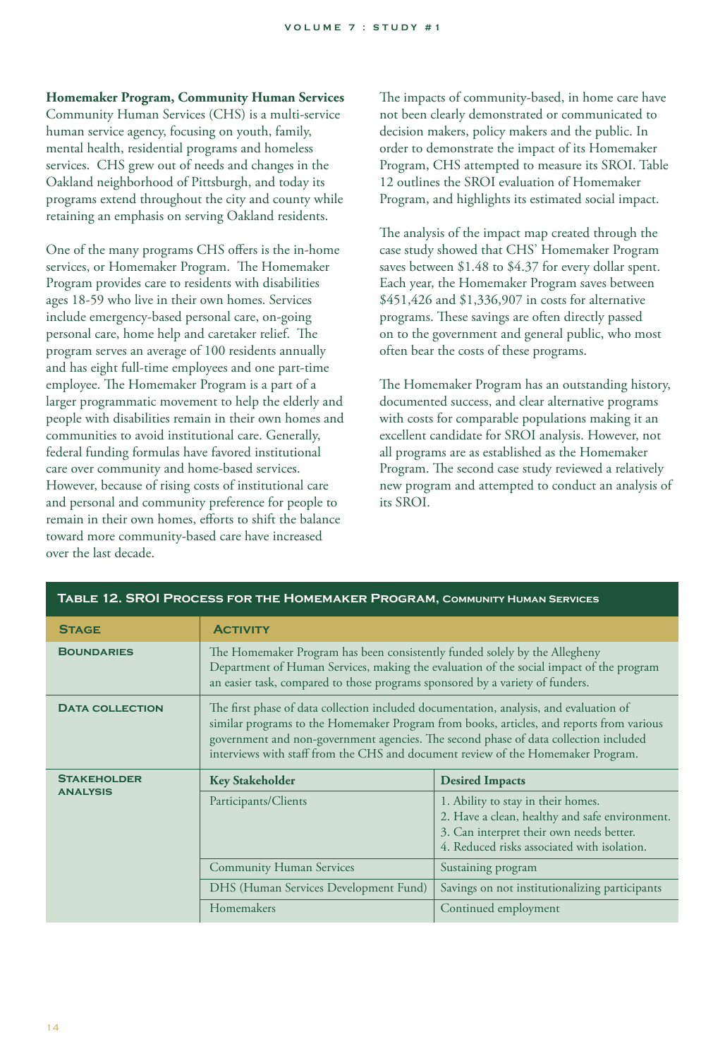#### **Homemaker Program, Community Human Services**

Community Human Services (CHS) is a multi-service human service agency, focusing on youth, family, mental health, residential programs and homeless services. CHS grew out of needs and changes in the Oakland neighborhood of Pittsburgh, and today its programs extend throughout the city and county while retaining an emphasis on serving Oakland residents.

One of the many programs CHS offers is the in-home services, or Homemaker Program. The Homemaker Program provides care to residents with disabilities ages 18-59 who live in their own homes. Services include emergency-based personal care, on-going personal care, home help and caretaker relief. The program serves an average of 100 residents annually and has eight full-time employees and one part-time employee. The Homemaker Program is a part of a larger programmatic movement to help the elderly and people with disabilities remain in their own homes and communities to avoid institutional care. Generally, federal funding formulas have favored institutional care over community and home-based services. However, because of rising costs of institutional care and personal and community preference for people to remain in their own homes, efforts to shift the balance toward more community-based care have increased over the last decade.

The impacts of community-based, in home care have not been clearly demonstrated or communicated to decision makers, policy makers and the public. In order to demonstrate the impact of its Homemaker Program, CHS attempted to measure its SROI. Table 12 outlines the SROI evaluation of Homemaker Program, and highlights its estimated social impact.

The analysis of the impact map created through the case study showed that CHS' Homemaker Program saves between \$1.48 to \$4.37 for every dollar spent. Each year, the Homemaker Program saves between \$451,426 and \$1,336,907 in costs for alternative programs. These savings are often directly passed on to the government and general public, who most often bear the costs of these programs.

The Homemaker Program has an outstanding history, documented success, and clear alternative programs with costs for comparable populations making it an excellent candidate for SROI analysis. However, not all programs are as established as the Homemaker Program. The second case study reviewed a relatively new program and attempted to conduct an analysis of its SROI.

| <b>IABLE 12. SROI PROCESS FOR THE HOMEMAKER PROGRAM, COMMUNITY HUMAN SERVICES</b> |                                                                                                                                                                                                                                                                                                                                                                |                                                                                                                                                                                 |
|-----------------------------------------------------------------------------------|----------------------------------------------------------------------------------------------------------------------------------------------------------------------------------------------------------------------------------------------------------------------------------------------------------------------------------------------------------------|---------------------------------------------------------------------------------------------------------------------------------------------------------------------------------|
| <b>STAGE</b>                                                                      | <b>ACTIVITY</b>                                                                                                                                                                                                                                                                                                                                                |                                                                                                                                                                                 |
| <b>BOUNDARIES</b>                                                                 | The Homemaker Program has been consistently funded solely by the Allegheny<br>Department of Human Services, making the evaluation of the social impact of the program<br>an easier task, compared to those programs sponsored by a variety of funders.                                                                                                         |                                                                                                                                                                                 |
| <b>DATA COLLECTION</b>                                                            | The first phase of data collection included documentation, analysis, and evaluation of<br>similar programs to the Homemaker Program from books, articles, and reports from various<br>government and non-government agencies. The second phase of data collection included<br>interviews with staff from the CHS and document review of the Homemaker Program. |                                                                                                                                                                                 |
| <b>STAKEHOLDER</b><br><b>Key Stakeholder</b><br><b>Desired Impacts</b>            |                                                                                                                                                                                                                                                                                                                                                                |                                                                                                                                                                                 |
| <b>ANALYSIS</b>                                                                   | Participants/Clients                                                                                                                                                                                                                                                                                                                                           | 1. Ability to stay in their homes.<br>2. Have a clean, healthy and safe environment.<br>3. Can interpret their own needs better.<br>4. Reduced risks associated with isolation. |
|                                                                                   | <b>Community Human Services</b>                                                                                                                                                                                                                                                                                                                                | Sustaining program                                                                                                                                                              |
|                                                                                   | DHS (Human Services Development Fund)                                                                                                                                                                                                                                                                                                                          | Savings on not institutionalizing participants                                                                                                                                  |
|                                                                                   | Homemakers                                                                                                                                                                                                                                                                                                                                                     | Continued employment                                                                                                                                                            |

## **Table 12. SROI Process for the Homemaker Program, Community Human Services**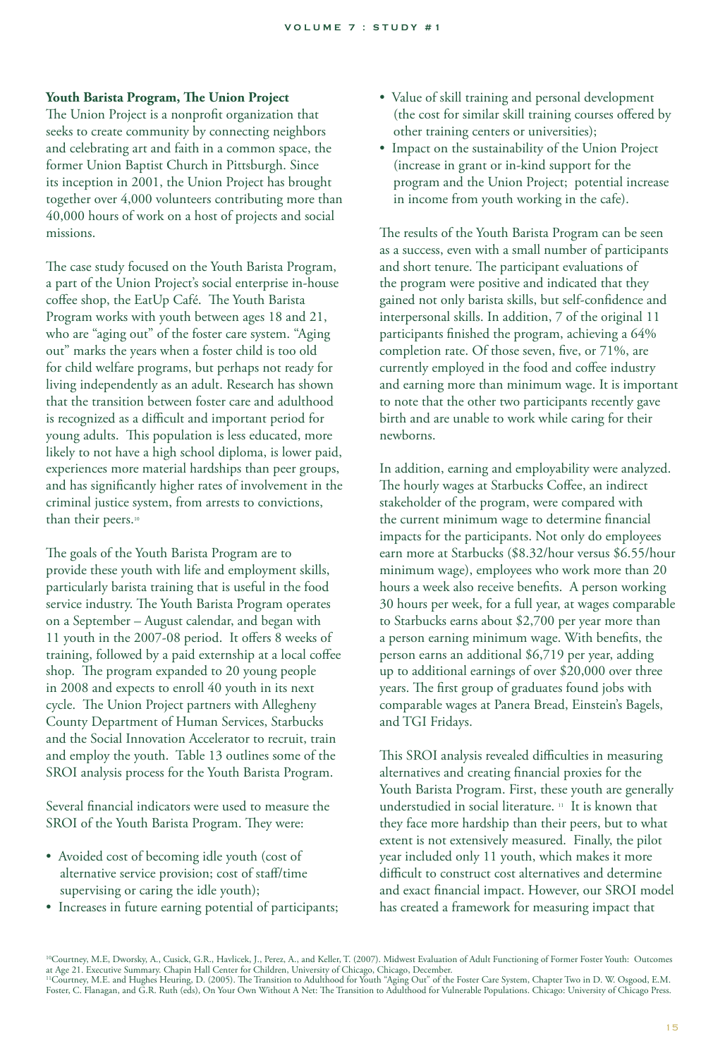#### **Youth Barista Program, The Union Project**

The Union Project is a nonprofit organization that seeks to create community by connecting neighbors and celebrating art and faith in a common space, the former Union Baptist Church in Pittsburgh. Since its inception in 2001, the Union Project has brought together over 4,000 volunteers contributing more than 40,000 hours of work on a host of projects and social missions.

The case study focused on the Youth Barista Program, a part of the Union Project's social enterprise in-house coffee shop, the EatUp Café. The Youth Barista Program works with youth between ages 18 and 21, who are "aging out" of the foster care system. "Aging out" marks the years when a foster child is too old for child welfare programs, but perhaps not ready for living independently as an adult. Research has shown that the transition between foster care and adulthood is recognized as a difficult and important period for young adults. This population is less educated, more likely to not have a high school diploma, is lower paid, experiences more material hardships than peer groups, and has significantly higher rates of involvement in the criminal justice system, from arrests to convictions, than their peers.<sup>10</sup>

The goals of the Youth Barista Program are to provide these youth with life and employment skills, particularly barista training that is useful in the food service industry. The Youth Barista Program operates on a September – August calendar, and began with 11 youth in the 2007-08 period. It offers 8 weeks of training, followed by a paid externship at a local coffee shop. The program expanded to 20 young people in 2008 and expects to enroll 40 youth in its next cycle. The Union Project partners with Allegheny County Department of Human Services, Starbucks and the Social Innovation Accelerator to recruit, train and employ the youth. Table 13 outlines some of the SROI analysis process for the Youth Barista Program.

Several financial indicators were used to measure the SROI of the Youth Barista Program. They were:

- Avoided cost of becoming idle youth (cost of alternative service provision; cost of staff/time supervising or caring the idle youth);
- Increases in future earning potential of participants;
- Value of skill training and personal development (the cost for similar skill training courses offered by other training centers or universities);
- Impact on the sustainability of the Union Project (increase in grant or in-kind support for the program and the Union Project; potential increase in income from youth working in the cafe).

The results of the Youth Barista Program can be seen as a success, even with a small number of participants and short tenure. The participant evaluations of the program were positive and indicated that they gained not only barista skills, but self-confidence and interpersonal skills. In addition, 7 of the original 11 participants finished the program, achieving a 64% completion rate. Of those seven, five, or 71%, are currently employed in the food and coffee industry and earning more than minimum wage. It is important to note that the other two participants recently gave birth and are unable to work while caring for their newborns.

In addition, earning and employability were analyzed. The hourly wages at Starbucks Coffee, an indirect stakeholder of the program, were compared with the current minimum wage to determine financial impacts for the participants. Not only do employees earn more at Starbucks (\$8.32/hour versus \$6.55/hour minimum wage), employees who work more than 20 hours a week also receive benefits. A person working 30 hours per week, for a full year, at wages comparable to Starbucks earns about \$2,700 per year more than a person earning minimum wage. With benefits, the person earns an additional \$6,719 per year, adding up to additional earnings of over \$20,000 over three years. The first group of graduates found jobs with comparable wages at Panera Bread, Einstein's Bagels, and TGI Fridays.

This SROI analysis revealed difficulties in measuring alternatives and creating financial proxies for the Youth Barista Program. First, these youth are generally understudied in social literature. 11 It is known that they face more hardship than their peers, but to what extent is not extensively measured. Finally, the pilot year included only 11 youth, which makes it more difficult to construct cost alternatives and determine and exact financial impact. However, our SROI model has created a framework for measuring impact that

<sup>10</sup>Courtney, M.E, Dworsky, A., Cusick, G.R., Havlicek, J., Perez, A., and Keller, T. (2007). Midwest Evaluation of Adult Functioning of Former Foster Youth: Outcomes at Age 21. Executive Summary. Chapin Hall Center for Children, University of Chicago, Chicago, December.<br>''Courtney, M.E. and Hughes Heuring, D. (2005). The Transition to Adulthood for Youth "Aging Out" of the Foster Care Foster, C. Flanagan, and G.R. Ruth (eds), On Your Own Without A Net: The Transition to Adulthood for Vulnerable Populations. Chicago: University of Chicago Press.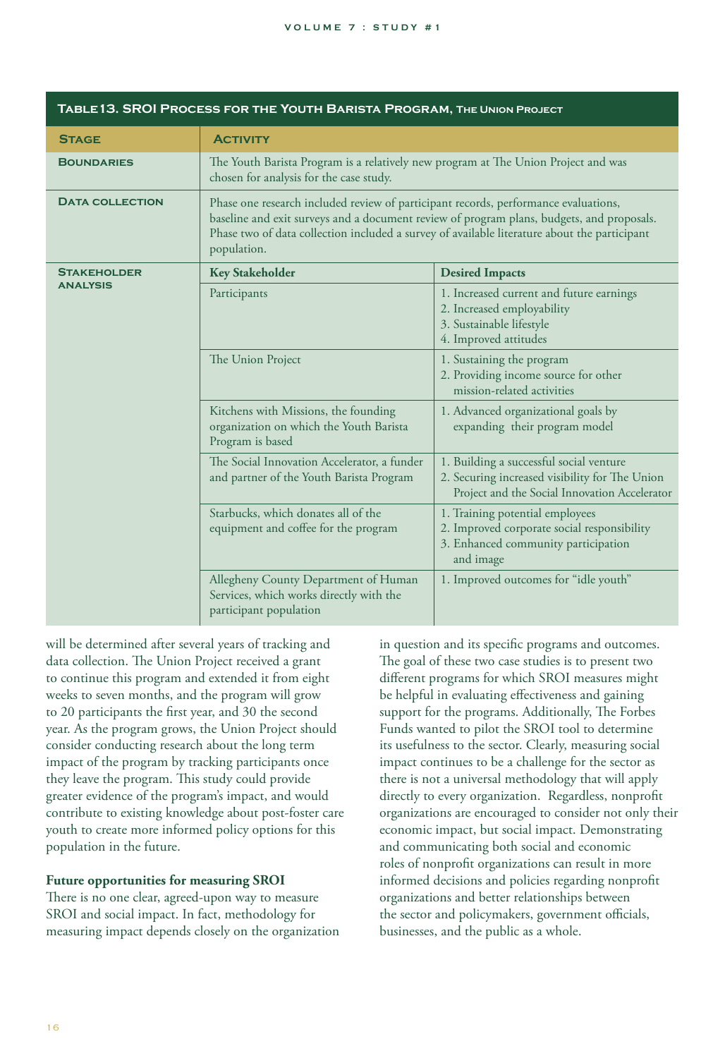| TABLE 13. SROI PROCESS FOR THE YOUTH BARISTA PROGRAM, THE UNION PROJECT |                                                                                                                                                                                                                                                                                                 |                                                                                                                                            |
|-------------------------------------------------------------------------|-------------------------------------------------------------------------------------------------------------------------------------------------------------------------------------------------------------------------------------------------------------------------------------------------|--------------------------------------------------------------------------------------------------------------------------------------------|
| <b>STAGE</b>                                                            | <b>ACTIVITY</b>                                                                                                                                                                                                                                                                                 |                                                                                                                                            |
| <b>BOUNDARIES</b>                                                       | The Youth Barista Program is a relatively new program at The Union Project and was<br>chosen for analysis for the case study.                                                                                                                                                                   |                                                                                                                                            |
| <b>DATA COLLECTION</b>                                                  | Phase one research included review of participant records, performance evaluations,<br>baseline and exit surveys and a document review of program plans, budgets, and proposals.<br>Phase two of data collection included a survey of available literature about the participant<br>population. |                                                                                                                                            |
| <b>STAKEHOLDER</b><br><b>ANALYSIS</b>                                   | <b>Key Stakeholder</b>                                                                                                                                                                                                                                                                          | <b>Desired Impacts</b>                                                                                                                     |
|                                                                         | Participants                                                                                                                                                                                                                                                                                    | 1. Increased current and future earnings<br>2. Increased employability<br>3. Sustainable lifestyle<br>4. Improved attitudes                |
|                                                                         | The Union Project                                                                                                                                                                                                                                                                               | 1. Sustaining the program<br>2. Providing income source for other<br>mission-related activities                                            |
|                                                                         | Kitchens with Missions, the founding<br>organization on which the Youth Barista<br>Program is based                                                                                                                                                                                             | 1. Advanced organizational goals by<br>expanding their program model                                                                       |
|                                                                         | The Social Innovation Accelerator, a funder<br>and partner of the Youth Barista Program                                                                                                                                                                                                         | 1. Building a successful social venture<br>2. Securing increased visibility for The Union<br>Project and the Social Innovation Accelerator |
|                                                                         | Starbucks, which donates all of the<br>equipment and coffee for the program                                                                                                                                                                                                                     | 1. Training potential employees<br>2. Improved corporate social responsibility<br>3. Enhanced community participation<br>and image         |
|                                                                         | Allegheny County Department of Human<br>Services, which works directly with the<br>participant population                                                                                                                                                                                       | 1. Improved outcomes for "idle youth"                                                                                                      |

will be determined after several years of tracking and data collection. The Union Project received a grant to continue this program and extended it from eight weeks to seven months, and the program will grow to 20 participants the first year, and 30 the second year. As the program grows, the Union Project should consider conducting research about the long term impact of the program by tracking participants once they leave the program. This study could provide greater evidence of the program's impact, and would contribute to existing knowledge about post-foster care youth to create more informed policy options for this population in the future.

#### **Future opportunities for measuring SROI**

There is no one clear, agreed-upon way to measure SROI and social impact. In fact, methodology for measuring impact depends closely on the organization in question and its specific programs and outcomes. The goal of these two case studies is to present two different programs for which SROI measures might be helpful in evaluating effectiveness and gaining support for the programs. Additionally, The Forbes Funds wanted to pilot the SROI tool to determine its usefulness to the sector. Clearly, measuring social impact continues to be a challenge for the sector as there is not a universal methodology that will apply directly to every organization. Regardless, nonprofit organizations are encouraged to consider not only their economic impact, but social impact. Demonstrating and communicating both social and economic roles of nonprofit organizations can result in more informed decisions and policies regarding nonprofit organizations and better relationships between the sector and policymakers, government officials, businesses, and the public as a whole.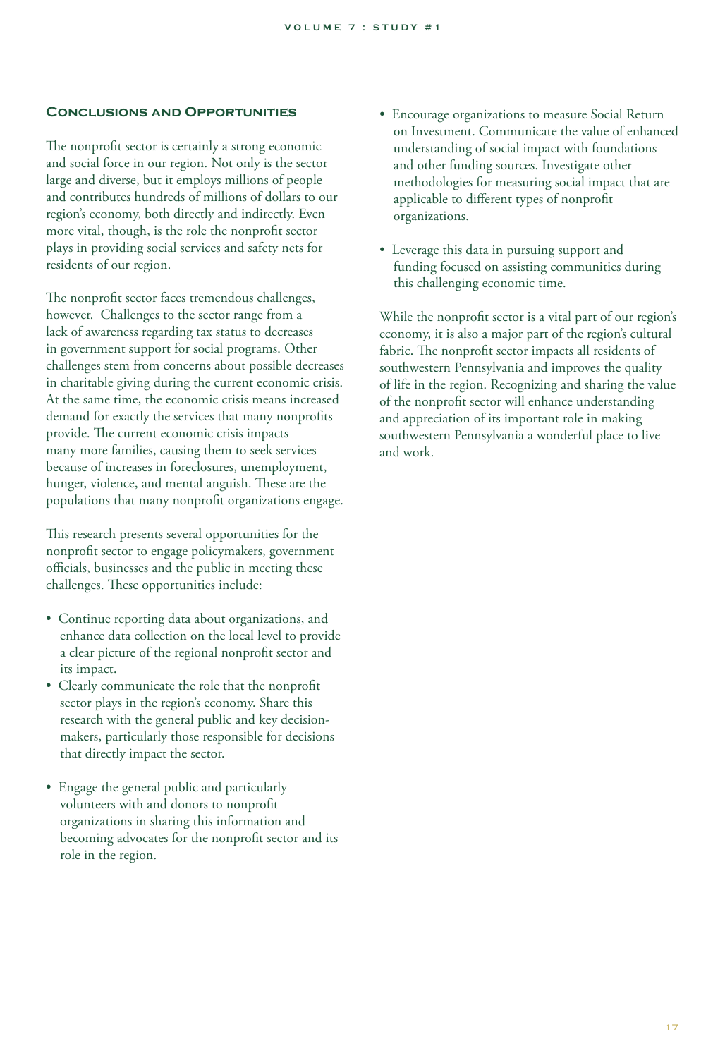#### **Conclusions and Opportunities**

The nonprofit sector is certainly a strong economic and social force in our region. Not only is the sector large and diverse, but it employs millions of people and contributes hundreds of millions of dollars to our region's economy, both directly and indirectly. Even more vital, though, is the role the nonprofit sector plays in providing social services and safety nets for residents of our region.

The nonprofit sector faces tremendous challenges, however. Challenges to the sector range from a lack of awareness regarding tax status to decreases in government support for social programs. Other challenges stem from concerns about possible decreases in charitable giving during the current economic crisis. At the same time, the economic crisis means increased demand for exactly the services that many nonprofits provide. The current economic crisis impacts many more families, causing them to seek services because of increases in foreclosures, unemployment, hunger, violence, and mental anguish. These are the populations that many nonprofit organizations engage.

This research presents several opportunities for the nonprofit sector to engage policymakers, government officials, businesses and the public in meeting these challenges. These opportunities include:

- Continue reporting data about organizations, and enhance data collection on the local level to provide a clear picture of the regional nonprofit sector and its impact.
- Clearly communicate the role that the nonprofit sector plays in the region's economy. Share this research with the general public and key decision makers, particularly those responsible for decisions that directly impact the sector.
- Engage the general public and particularly volunteers with and donors to nonprofit organizations in sharing this information and becoming advocates for the nonprofit sector and its role in the region.
- Encourage organizations to measure Social Return on Investment. Communicate the value of enhanced understanding of social impact with foundations and other funding sources. Investigate other methodologies for measuring social impact that are applicable to different types of nonprofit organizations.
- Leverage this data in pursuing support and funding focused on assisting communities during this challenging economic time.

While the nonprofit sector is a vital part of our region's economy, it is also a major part of the region's cultural fabric. The nonprofit sector impacts all residents of southwestern Pennsylvania and improves the quality of life in the region. Recognizing and sharing the value of the nonprofit sector will enhance understanding and appreciation of its important role in making southwestern Pennsylvania a wonderful place to live and work.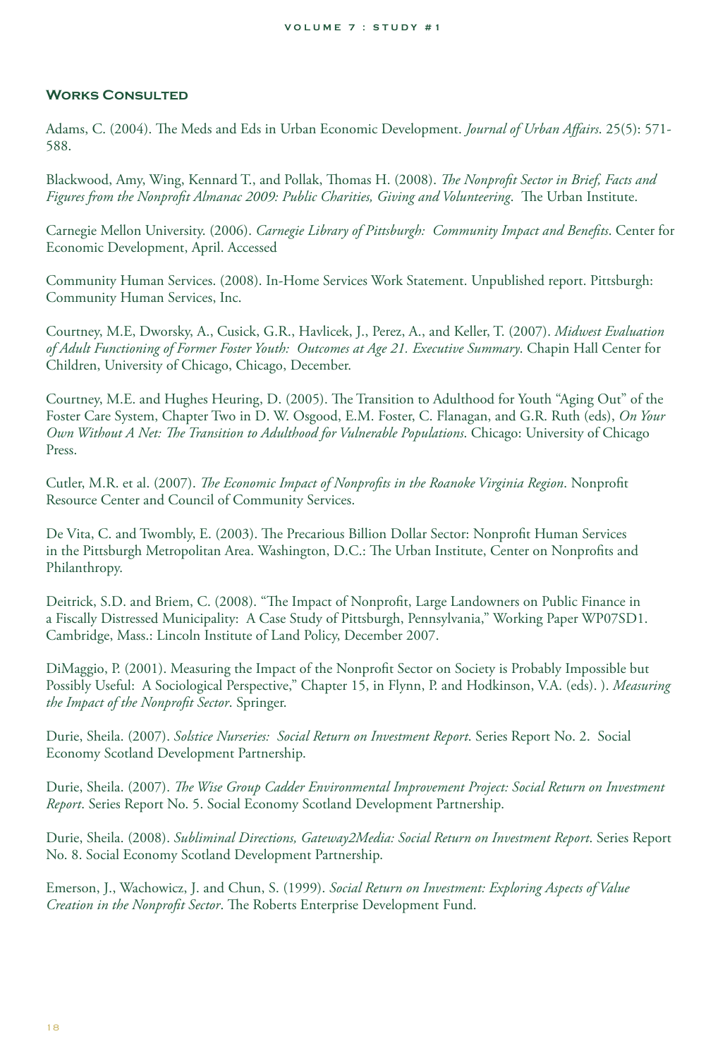#### **Works Consulted**

Adams, C. (2004). The Meds and Eds in Urban Economic Development. *Journal of Urban Affairs*. 25(5): 571- 588.

Blackwood, Amy, Wing, Kennard T., and Pollak, Thomas H. (2008). *The Nonprofit Sector in Brief, Facts and Figures from the Nonprofit Almanac 2009: Public Charities, Giving and Volunteering*. The Urban Institute.

Carnegie Mellon University. (2006). *Carnegie Library of Pittsburgh: Community Impact and Benefits*. Center for Economic Development, April. Accessed

Community Human Services. (2008). In-Home Services Work Statement. Unpublished report. Pittsburgh: Community Human Services, Inc.

Courtney, M.E, Dworsky, A., Cusick, G.R., Havlicek, J., Perez, A., and Keller, T. (2007). *Midwest Evaluation of Adult Functioning of Former Foster Youth: Outcomes at Age 21. Executive Summary*. Chapin Hall Center for Children, University of Chicago, Chicago, December.

Courtney, M.E. and Hughes Heuring, D. (2005). The Transition to Adulthood for Youth "Aging Out" of the Foster Care System, Chapter Two in D. W. Osgood, E.M. Foster, C. Flanagan, and G.R. Ruth (eds), *On Your Own Without A Net: The Transition to Adulthood for Vulnerable Populations*. Chicago: University of Chicago Press.

Cutler, M.R. et al. (2007). *The Economic Impact of Nonprofits in the Roanoke Virginia Region*. Nonprofit Resource Center and Council of Community Services.

De Vita, C. and Twombly, E. (2003). The Precarious Billion Dollar Sector: Nonprofit Human Services in the Pittsburgh Metropolitan Area. Washington, D.C.: The Urban Institute, Center on Nonprofits and Philanthropy.

Deitrick, S.D. and Briem, C. (2008). "The Impact of Nonprofit, Large Landowners on Public Finance in a Fiscally Distressed Municipality: A Case Study of Pittsburgh, Pennsylvania," Working Paper WP07SD1. Cambridge, Mass.: Lincoln Institute of Land Policy, December 2007.

DiMaggio, P. (2001). Measuring the Impact of the Nonprofit Sector on Society is Probably Impossible but Possibly Useful: A Sociological Perspective," Chapter 15, in Flynn, P. and Hodkinson, V.A. (eds). ). *Measuring the Impact of the Nonprofit Sector*. Springer.

Durie, Sheila. (2007). *Solstice Nurseries: Social Return on Investment Report*. Series Report No. 2. Social Economy Scotland Development Partnership.

Durie, Sheila. (2007). *The Wise Group Cadder Environmental Improvement Project: Social Return on Investment Report*. Series Report No. 5. Social Economy Scotland Development Partnership.

Durie, Sheila. (2008). *Subliminal Directions, Gateway2Media: Social Return on Investment Report*. Series Report No. 8. Social Economy Scotland Development Partnership.

Emerson, J., Wachowicz, J. and Chun, S. (1999). *Social Return on Investment: Exploring Aspects of Value Creation in the Nonprofit Sector*. The Roberts Enterprise Development Fund.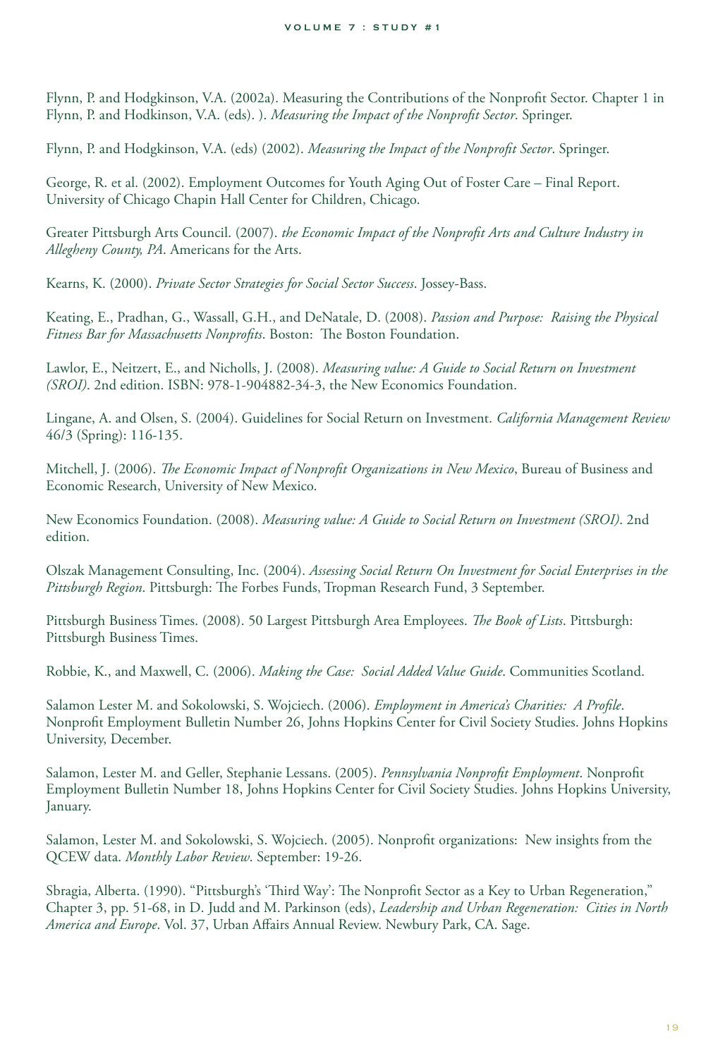Flynn, P. and Hodgkinson, V.A. (2002a). Measuring the Contributions of the Nonprofit Sector. Chapter 1 in Flynn, P. and Hodkinson, V.A. (eds). ). *Measuring the Impact of the Nonprofit Sector*. Springer.

Flynn, P. and Hodgkinson, V.A. (eds) (2002). *Measuring the Impact of the Nonprofit Sector*. Springer.

George, R. et al. (2002). Employment Outcomes for Youth Aging Out of Foster Care – Final Report. University of Chicago Chapin Hall Center for Children, Chicago.

Greater Pittsburgh Arts Council. (2007). *the Economic Impact of the Nonprofit Arts and Culture Industry in Allegheny County, PA*. Americans for the Arts.

Kearns, K. (2000). *Private Sector Strategies for Social Sector Success*. Jossey-Bass.

Keating, E., Pradhan, G., Wassall, G.H., and DeNatale, D. (2008). *Passion and Purpose: Raising the Physical Fitness Bar for Massachusetts Nonprofits*. Boston: The Boston Foundation.

Lawlor, E., Neitzert, E., and Nicholls, J. (2008). *Measuring value: A Guide to Social Return on Investment (SROI)*. 2nd edition. ISBN: 978-1-904882-34-3, the New Economics Foundation.

Lingane, A. and Olsen, S. (2004). Guidelines for Social Return on Investment. *California Management Review* 46/3 (Spring): 116-135.

Mitchell, J. (2006). *The Economic Impact of Nonprofit Organizations in New Mexico*, Bureau of Business and Economic Research, University of New Mexico.

New Economics Foundation. (2008). *Measuring value: A Guide to Social Return on Investment (SROI)*. 2nd edition.

Olszak Management Consulting, Inc. (2004). *Assessing Social Return On Investment for Social Enterprises in the Pittsburgh Region*. Pittsburgh: The Forbes Funds, Tropman Research Fund, 3 September.

Pittsburgh Business Times. (2008). 50 Largest Pittsburgh Area Employees. *The Book of Lists*. Pittsburgh: Pittsburgh Business Times.

Robbie, K., and Maxwell, C. (2006). *Making the Case: Social Added Value Guide*. Communities Scotland.

Salamon Lester M. and Sokolowski, S. Wojciech. (2006). *Employment in America's Charities: A Profile*. Nonprofit Employment Bulletin Number 26, Johns Hopkins Center for Civil Society Studies. Johns Hopkins University, December.

Salamon, Lester M. and Geller, Stephanie Lessans. (2005). *Pennsylvania Nonprofit Employment*. Nonprofit Employment Bulletin Number 18, Johns Hopkins Center for Civil Society Studies. Johns Hopkins University, January.

Salamon, Lester M. and Sokolowski, S. Wojciech. (2005). Nonprofit organizations: New insights from the QCEW data. *Monthly Labor Review*. September: 19-26.

Sbragia, Alberta. (1990). "Pittsburgh's 'Third Way': The Nonprofit Sector as a Key to Urban Regeneration," Chapter 3, pp. 51-68, in D. Judd and M. Parkinson (eds), *Leadership and Urban Regeneration: Cities in North America and Europe*. Vol. 37, Urban Affairs Annual Review. Newbury Park, CA. Sage.